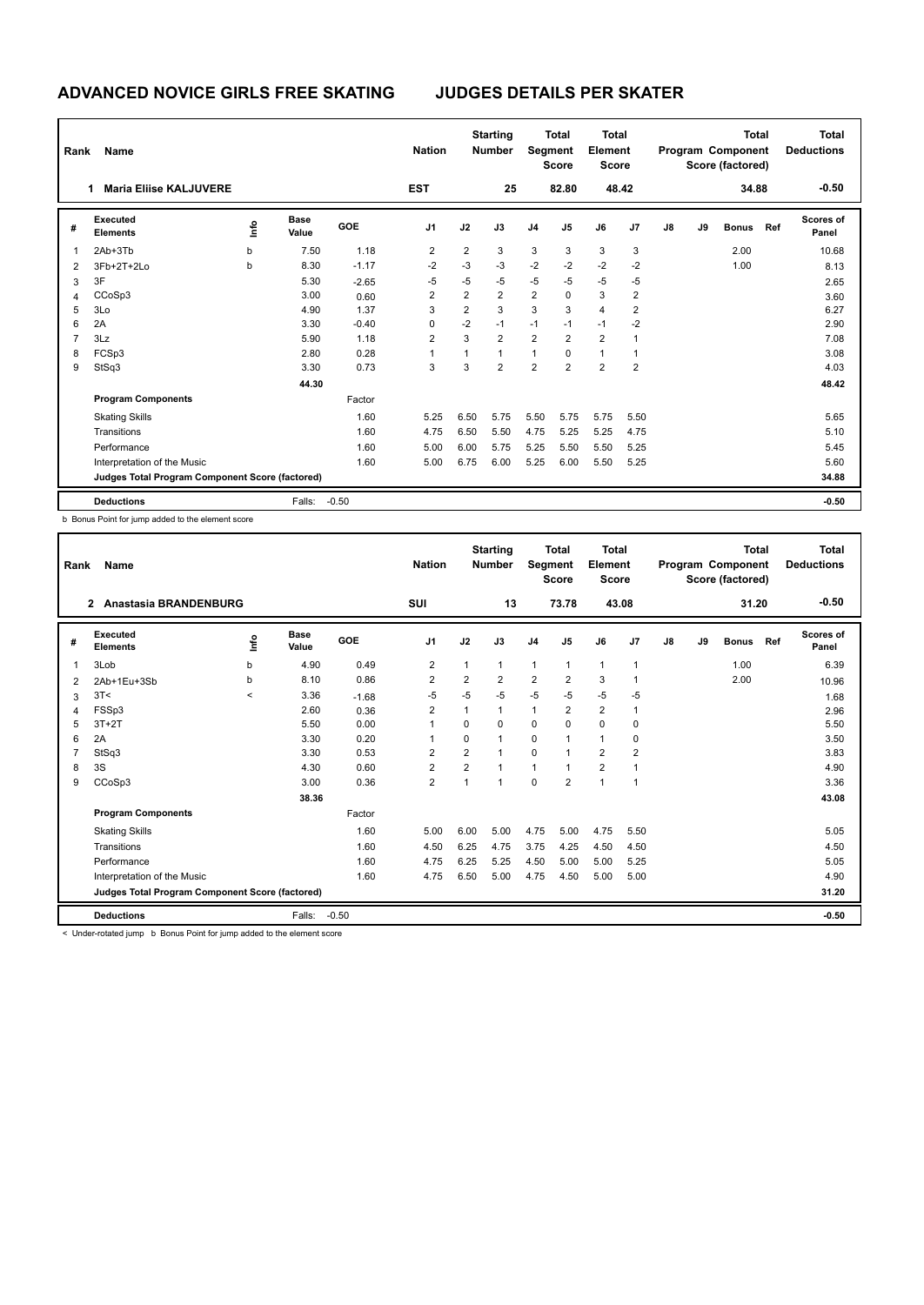| Rank | Name                                            |      |                      |         | <b>Nation</b>  |                | <b>Starting</b><br><b>Number</b> |                | <b>Total</b><br>Segment<br><b>Score</b> | <b>Total</b><br>Element<br><b>Score</b> |                |               |    | <b>Total</b><br>Program Component<br>Score (factored) |     | Total<br><b>Deductions</b> |
|------|-------------------------------------------------|------|----------------------|---------|----------------|----------------|----------------------------------|----------------|-----------------------------------------|-----------------------------------------|----------------|---------------|----|-------------------------------------------------------|-----|----------------------------|
|      | <b>Maria Eliise KALJUVERE</b>                   |      |                      |         | <b>EST</b>     |                | 25                               |                | 82.80                                   |                                         | 48.42          |               |    | 34.88                                                 |     | $-0.50$                    |
| #    | Executed<br><b>Elements</b>                     | lnfo | <b>Base</b><br>Value | GOE     | J <sub>1</sub> | J2             | J3                               | J <sub>4</sub> | J5                                      | J6                                      | J7             | $\mathsf{J}8$ | J9 | <b>Bonus</b>                                          | Ref | <b>Scores of</b><br>Panel  |
| 1    | 2Ab+3Tb                                         | b    | 7.50                 | 1.18    | $\overline{2}$ | 2              | 3                                | 3              | 3                                       | 3                                       | 3              |               |    | 2.00                                                  |     | 10.68                      |
| 2    | 3Fb+2T+2Lo                                      | b    | 8.30                 | $-1.17$ | $-2$           | $-3$           | $-3$                             | $-2$           | $-2$                                    | $-2$                                    | $-2$           |               |    | 1.00                                                  |     | 8.13                       |
| 3    | 3F                                              |      | 5.30                 | $-2.65$ | $-5$           | $-5$           | -5                               | $-5$           | $-5$                                    | $-5$                                    | $-5$           |               |    |                                                       |     | 2.65                       |
| 4    | CCoSp3                                          |      | 3.00                 | 0.60    | 2              | 2              | $\overline{2}$                   | $\overline{2}$ | $\Omega$                                | 3                                       | 2              |               |    |                                                       |     | 3.60                       |
| 5    | 3Lo                                             |      | 4.90                 | 1.37    | 3              | $\overline{2}$ | 3                                | 3              | 3                                       | $\overline{4}$                          | 2              |               |    |                                                       |     | 6.27                       |
| 6    | 2A                                              |      | 3.30                 | $-0.40$ | 0              | $-2$           | $-1$                             | $-1$           | $-1$                                    | $-1$                                    | $-2$           |               |    |                                                       |     | 2.90                       |
| 7    | 3Lz                                             |      | 5.90                 | 1.18    | $\overline{2}$ | 3              | $\overline{2}$                   | $\overline{2}$ | $\overline{2}$                          | $\overline{2}$                          |                |               |    |                                                       |     | 7.08                       |
| 8    | FCSp3                                           |      | 2.80                 | 0.28    |                | 1              | $\mathbf{1}$                     | $\mathbf{1}$   | 0                                       | $\mathbf{1}$                            |                |               |    |                                                       |     | 3.08                       |
| 9    | StSq3                                           |      | 3.30                 | 0.73    | 3              | 3              | $\overline{2}$                   | $\overline{2}$ | $\overline{2}$                          | $\overline{2}$                          | $\overline{2}$ |               |    |                                                       |     | 4.03                       |
|      |                                                 |      | 44.30                |         |                |                |                                  |                |                                         |                                         |                |               |    |                                                       |     | 48.42                      |
|      | <b>Program Components</b>                       |      |                      | Factor  |                |                |                                  |                |                                         |                                         |                |               |    |                                                       |     |                            |
|      | <b>Skating Skills</b>                           |      |                      | 1.60    | 5.25           | 6.50           | 5.75                             | 5.50           | 5.75                                    | 5.75                                    | 5.50           |               |    |                                                       |     | 5.65                       |
|      | Transitions                                     |      |                      | 1.60    | 4.75           | 6.50           | 5.50                             | 4.75           | 5.25                                    | 5.25                                    | 4.75           |               |    |                                                       |     | 5.10                       |
|      | Performance                                     |      |                      | 1.60    | 5.00           | 6.00           | 5.75                             | 5.25           | 5.50                                    | 5.50                                    | 5.25           |               |    |                                                       |     | 5.45                       |
|      | Interpretation of the Music                     |      |                      | 1.60    | 5.00           | 6.75           | 6.00                             | 5.25           | 6.00                                    | 5.50                                    | 5.25           |               |    |                                                       |     | 5.60                       |
|      | Judges Total Program Component Score (factored) |      |                      |         |                |                |                                  |                |                                         |                                         |                |               |    |                                                       |     | 34.88                      |
|      | <b>Deductions</b>                               |      | Falls:               | $-0.50$ |                |                |                                  |                |                                         |                                         |                |               |    |                                                       |     | $-0.50$                    |

b Bonus Point for jump added to the element score

| Rank | Name                                            |         |                      |         | <b>Nation</b>  |                | <b>Starting</b><br><b>Number</b> | Segment        | <b>Total</b><br><b>Score</b> | <b>Total</b><br>Element<br><b>Score</b> |                |    |    | <b>Total</b><br>Program Component<br>Score (factored) |       | <b>Total</b><br><b>Deductions</b> |
|------|-------------------------------------------------|---------|----------------------|---------|----------------|----------------|----------------------------------|----------------|------------------------------|-----------------------------------------|----------------|----|----|-------------------------------------------------------|-------|-----------------------------------|
|      | Anastasia BRANDENBURG<br>2                      |         |                      |         | <b>SUI</b>     |                | 13                               |                | 73.78                        | 43.08                                   |                |    |    | 31.20                                                 |       | $-0.50$                           |
| #    | Executed<br><b>Elements</b>                     | ١ifo    | <b>Base</b><br>Value | GOE     | J <sub>1</sub> | J2             | J3                               | J <sub>4</sub> | J <sub>5</sub>               | J6                                      | J7             | J8 | J9 | <b>Bonus</b>                                          | Ref   | <b>Scores of</b><br>Panel         |
| 1    | 3Lob                                            | b       | 4.90                 | 0.49    | $\overline{2}$ | 1              | 1                                | $\mathbf{1}$   | $\mathbf{1}$                 | $\mathbf{1}$                            | $\mathbf{1}$   |    |    | 1.00                                                  |       | 6.39                              |
| 2    | 2Ab+1Eu+3Sb                                     | b       | 8.10                 | 0.86    | 2              | $\overline{2}$ | 2                                | $\overline{2}$ | $\overline{2}$               | 3                                       | 1              |    |    | 2.00                                                  |       | 10.96                             |
| 3    | 3T<                                             | $\prec$ | 3.36                 | $-1.68$ | -5             | $-5$           | $-5$                             | $-5$           | $-5$                         | $-5$                                    | -5             |    |    |                                                       |       | 1.68                              |
| 4    | FSSp3                                           |         | 2.60                 | 0.36    | $\overline{2}$ | 1              | $\mathbf 1$                      | 1              | $\overline{2}$               | $\overline{2}$                          | -1             |    |    |                                                       |       | 2.96                              |
| 5    | $3T+2T$                                         |         | 5.50                 | 0.00    | 1              | $\Omega$       | 0                                | $\mathbf 0$    | $\Omega$                     | 0                                       | 0              |    |    |                                                       |       | 5.50                              |
| 6    | 2A                                              |         | 3.30                 | 0.20    | 1              | 0              | 1                                | $\mathbf 0$    | 1                            | $\mathbf{1}$                            | 0              |    |    |                                                       |       | 3.50                              |
|      | StSq3                                           |         | 3.30                 | 0.53    | 2              | $\overline{2}$ | 1                                | $\mathbf 0$    | 1                            | $\overline{2}$                          | $\overline{2}$ |    |    |                                                       |       | 3.83                              |
| 8    | 3S                                              |         | 4.30                 | 0.60    | $\overline{2}$ | $\overline{2}$ | 1                                | $\mathbf{1}$   |                              | $\overline{2}$                          | $\mathbf{1}$   |    |    |                                                       |       | 4.90                              |
| 9    | CCoSp3                                          |         | 3.00                 | 0.36    | $\overline{2}$ | $\overline{1}$ | 1                                | $\Omega$       | $\overline{2}$               | $\mathbf{1}$                            | $\mathbf{1}$   |    |    |                                                       |       | 3.36                              |
|      |                                                 |         | 38.36                |         |                |                |                                  |                |                              |                                         |                |    |    |                                                       |       | 43.08                             |
|      | <b>Program Components</b>                       |         |                      | Factor  |                |                |                                  |                |                              |                                         |                |    |    |                                                       |       |                                   |
|      | <b>Skating Skills</b>                           |         |                      | 1.60    | 5.00           | 6.00           | 5.00                             | 4.75           | 5.00                         | 4.75                                    | 5.50           |    |    |                                                       |       | 5.05                              |
|      | Transitions                                     |         |                      | 1.60    | 4.50           | 6.25           | 4.75                             | 3.75           | 4.25                         | 4.50                                    | 4.50           |    |    |                                                       |       | 4.50                              |
|      | Performance                                     |         |                      | 1.60    | 4.75           | 6.25           | 5.25                             | 4.50           | 5.00                         | 5.00                                    | 5.25           |    |    |                                                       |       | 5.05                              |
|      | Interpretation of the Music                     |         |                      | 1.60    | 4.75           | 6.50           | 5.00                             | 4.75           | 4.50                         | 5.00                                    | 5.00           |    |    |                                                       |       | 4.90                              |
|      | Judges Total Program Component Score (factored) |         |                      |         |                |                |                                  |                |                              |                                         |                |    |    |                                                       | 31.20 |                                   |
|      | <b>Deductions</b>                               |         | Falls:               | $-0.50$ |                |                |                                  |                |                              |                                         |                |    |    |                                                       |       | $-0.50$                           |

< Under-rotated jump b Bonus Point for jump added to the element score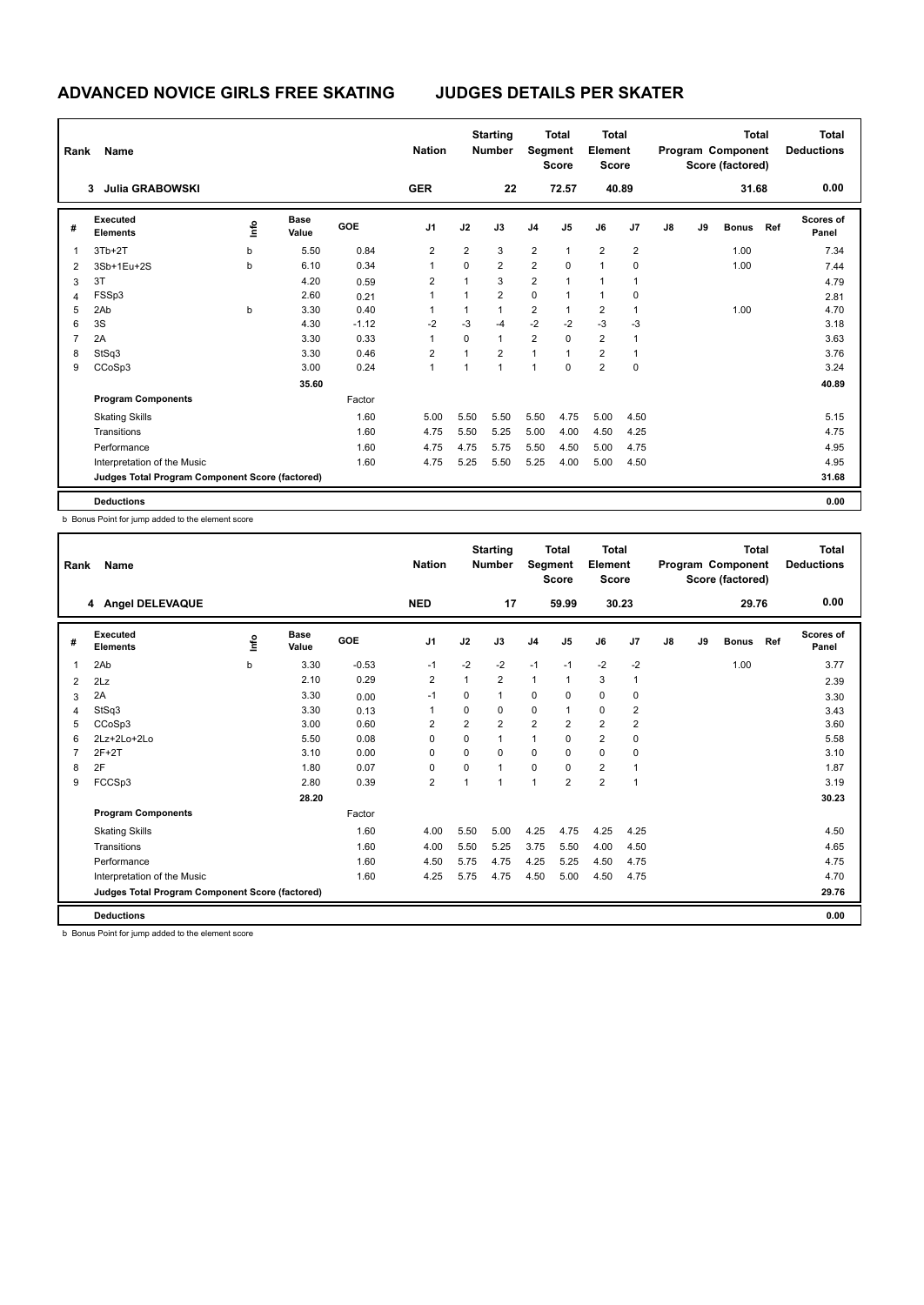| Rank           | Name                                            |      |                      |         | <b>Nation</b>  |                | <b>Starting</b><br><b>Number</b> | Segment        | <b>Total</b><br><b>Score</b> | <b>Total</b><br>Element<br><b>Score</b> |                |    |    | <b>Total</b><br>Program Component<br>Score (factored) |     | <b>Total</b><br><b>Deductions</b> |
|----------------|-------------------------------------------------|------|----------------------|---------|----------------|----------------|----------------------------------|----------------|------------------------------|-----------------------------------------|----------------|----|----|-------------------------------------------------------|-----|-----------------------------------|
|                | <b>Julia GRABOWSKI</b><br>3                     |      |                      |         | <b>GER</b>     |                | 22                               |                | 72.57                        | 40.89                                   |                |    |    | 31.68                                                 |     | 0.00                              |
| #              | <b>Executed</b><br><b>Elements</b>              | ١mfo | <b>Base</b><br>Value | GOE     | J <sub>1</sub> | J2             | J3                               | J <sub>4</sub> | J <sub>5</sub>               | J6                                      | J <sub>7</sub> | J8 | J9 | <b>Bonus</b>                                          | Ref | Scores of<br>Panel                |
| 1              | $3Tb+2T$                                        | b    | 5.50                 | 0.84    | $\overline{2}$ | $\overline{2}$ | 3                                | $\overline{2}$ | $\mathbf{1}$                 | $\overline{2}$                          | $\overline{2}$ |    |    | 1.00                                                  |     | 7.34                              |
| 2              | 3Sb+1Eu+2S                                      | b    | 6.10                 | 0.34    | 1              | $\mathbf 0$    | $\overline{2}$                   | $\overline{2}$ | $\mathbf 0$                  | $\mathbf{1}$                            | 0              |    |    | 1.00                                                  |     | 7.44                              |
| 3              | 3T                                              |      | 4.20                 | 0.59    | $\overline{2}$ | $\mathbf{1}$   | 3                                | 2              | 1                            | $\mathbf{1}$                            |                |    |    |                                                       |     | 4.79                              |
| 4              | FSSp3                                           |      | 2.60                 | 0.21    |                | $\mathbf{1}$   | $\overline{2}$                   | $\mathbf 0$    | 1                            | $\mathbf{1}$                            | 0              |    |    |                                                       |     | 2.81                              |
| 5              | 2Ab                                             | b    | 3.30                 | 0.40    |                | 1              |                                  | 2              | 1                            | $\overline{2}$                          | 1              |    |    | 1.00                                                  |     | 4.70                              |
| 6              | 3S                                              |      | 4.30                 | $-1.12$ | $-2$           | $-3$           | -4                               | $-2$           | $-2$                         | $-3$                                    | $-3$           |    |    |                                                       |     | 3.18                              |
| $\overline{7}$ | 2A                                              |      | 3.30                 | 0.33    | 1              | $\Omega$       | $\mathbf{1}$                     | $\overline{2}$ | $\Omega$                     | $\overline{2}$                          |                |    |    |                                                       |     | 3.63                              |
| 8              | StSq3                                           |      | 3.30                 | 0.46    | $\overline{2}$ | 1              | $\overline{2}$                   | 1              | 1                            | $\overline{2}$                          | 1              |    |    |                                                       |     | 3.76                              |
| 9              | CCoSp3                                          |      | 3.00                 | 0.24    | $\overline{1}$ | $\mathbf{1}$   | $\overline{1}$                   | 1              | $\mathbf 0$                  | $\overline{2}$                          | $\mathbf 0$    |    |    |                                                       |     | 3.24                              |
|                |                                                 |      | 35.60                |         |                |                |                                  |                |                              |                                         |                |    |    |                                                       |     | 40.89                             |
|                | <b>Program Components</b>                       |      |                      | Factor  |                |                |                                  |                |                              |                                         |                |    |    |                                                       |     |                                   |
|                | <b>Skating Skills</b>                           |      |                      | 1.60    | 5.00           | 5.50           | 5.50                             | 5.50           | 4.75                         | 5.00                                    | 4.50           |    |    |                                                       |     | 5.15                              |
|                | Transitions                                     |      |                      | 1.60    | 4.75           | 5.50           | 5.25                             | 5.00           | 4.00                         | 4.50                                    | 4.25           |    |    |                                                       |     | 4.75                              |
|                | Performance                                     |      |                      | 1.60    | 4.75           | 4.75           | 5.75                             | 5.50           | 4.50                         | 5.00                                    | 4.75           |    |    |                                                       |     | 4.95                              |
|                | Interpretation of the Music                     |      |                      | 1.60    | 4.75           | 5.25           | 5.50                             | 5.25           | 4.00                         | 5.00                                    | 4.50           |    |    |                                                       |     | 4.95                              |
|                | Judges Total Program Component Score (factored) |      |                      |         |                |                |                                  |                |                              |                                         |                |    |    |                                                       |     | 31.68                             |
|                | <b>Deductions</b>                               |      |                      |         |                |                |                                  |                |                              |                                         |                |    |    |                                                       |     | 0.00                              |

b Bonus Point for jump added to the element score

| Rank | Name                                            |             |                      |         | <b>Nation</b>  |                | <b>Starting</b><br><b>Number</b> | Segment        | <b>Total</b><br><b>Score</b> | <b>Total</b><br>Element<br><b>Score</b> |                |    |    | <b>Total</b><br>Program Component<br>Score (factored) |     | <b>Total</b><br><b>Deductions</b> |
|------|-------------------------------------------------|-------------|----------------------|---------|----------------|----------------|----------------------------------|----------------|------------------------------|-----------------------------------------|----------------|----|----|-------------------------------------------------------|-----|-----------------------------------|
|      | 4 Angel DELEVAQUE                               |             |                      |         | <b>NED</b>     |                | 17                               |                | 59.99                        | 30.23                                   |                |    |    | 29.76                                                 |     | 0.00                              |
| #    | Executed<br><b>Elements</b>                     | <u>info</u> | <b>Base</b><br>Value | GOE     | J <sub>1</sub> | J2             | J3                               | J <sub>4</sub> | J <sub>5</sub>               | J6                                      | J7             | J8 | J9 | <b>Bonus</b>                                          | Ref | Scores of<br>Panel                |
| 1    | 2Ab                                             | b           | 3.30                 | $-0.53$ | $-1$           | $-2$           | $-2$                             | $-1$           | $-1$                         | $-2$                                    | $-2$           |    |    | 1.00                                                  |     | 3.77                              |
| 2    | 2Lz                                             |             | 2.10                 | 0.29    | $\overline{2}$ | 1              | $\overline{2}$                   | $\mathbf{1}$   | 1                            | 3                                       | $\mathbf{1}$   |    |    |                                                       |     | 2.39                              |
| 3    | 2A                                              |             | 3.30                 | 0.00    | $-1$           | $\Omega$       | $\overline{1}$                   | $\Omega$       | $\Omega$                     | $\mathbf 0$                             | 0              |    |    |                                                       |     | 3.30                              |
| 4    | StSq3                                           |             | 3.30                 | 0.13    | 1              | $\Omega$       | 0                                | 0              | 1                            | $\mathbf 0$                             | $\overline{2}$ |    |    |                                                       |     | 3.43                              |
| 5    | CCoSp3                                          |             | 3.00                 | 0.60    | 2              | $\overline{2}$ | $\overline{2}$                   | $\overline{2}$ | $\overline{2}$               | $\overline{2}$                          | $\overline{2}$ |    |    |                                                       |     | 3.60                              |
| 6    | $2Lz + 2Lo + 2Lo$                               |             | 5.50                 | 0.08    | $\Omega$       | $\Omega$       | $\mathbf{1}$                     | $\mathbf{1}$   | $\Omega$                     | $\overline{2}$                          | 0              |    |    |                                                       |     | 5.58                              |
|      | $2F+2T$                                         |             | 3.10                 | 0.00    | $\Omega$       | $\Omega$       | $\Omega$                         | $\Omega$       | $\Omega$                     | $\Omega$                                | 0              |    |    |                                                       |     | 3.10                              |
| 8    | 2F                                              |             | 1.80                 | 0.07    | $\Omega$       | $\Omega$       | 1                                | 0              | $\Omega$                     | $\overline{2}$                          | $\mathbf{1}$   |    |    |                                                       |     | 1.87                              |
| 9    | FCCSp3                                          |             | 2.80                 | 0.39    | $\overline{2}$ | 1              | 1                                | 1              | $\overline{2}$               | $\overline{2}$                          | $\mathbf{1}$   |    |    |                                                       |     | 3.19                              |
|      |                                                 |             | 28.20                |         |                |                |                                  |                |                              |                                         |                |    |    |                                                       |     | 30.23                             |
|      | <b>Program Components</b>                       |             |                      | Factor  |                |                |                                  |                |                              |                                         |                |    |    |                                                       |     |                                   |
|      | <b>Skating Skills</b>                           |             |                      | 1.60    | 4.00           | 5.50           | 5.00                             | 4.25           | 4.75                         | 4.25                                    | 4.25           |    |    |                                                       |     | 4.50                              |
|      | Transitions                                     |             |                      | 1.60    | 4.00           | 5.50           | 5.25                             | 3.75           | 5.50                         | 4.00                                    | 4.50           |    |    |                                                       |     | 4.65                              |
|      | Performance                                     |             |                      | 1.60    | 4.50           | 5.75           | 4.75                             | 4.25           | 5.25                         | 4.50                                    | 4.75           |    |    |                                                       |     | 4.75                              |
|      | Interpretation of the Music                     |             |                      | 1.60    | 4.25           | 5.75           | 4.75                             | 4.50           | 5.00                         | 4.50                                    | 4.75           |    |    |                                                       |     | 4.70                              |
|      | Judges Total Program Component Score (factored) |             |                      |         |                |                |                                  |                |                              |                                         |                |    |    |                                                       |     | 29.76                             |
|      | <b>Deductions</b>                               |             |                      |         |                |                |                                  |                |                              |                                         |                |    |    |                                                       |     | 0.00                              |

b Bonus Point for jump added to the element score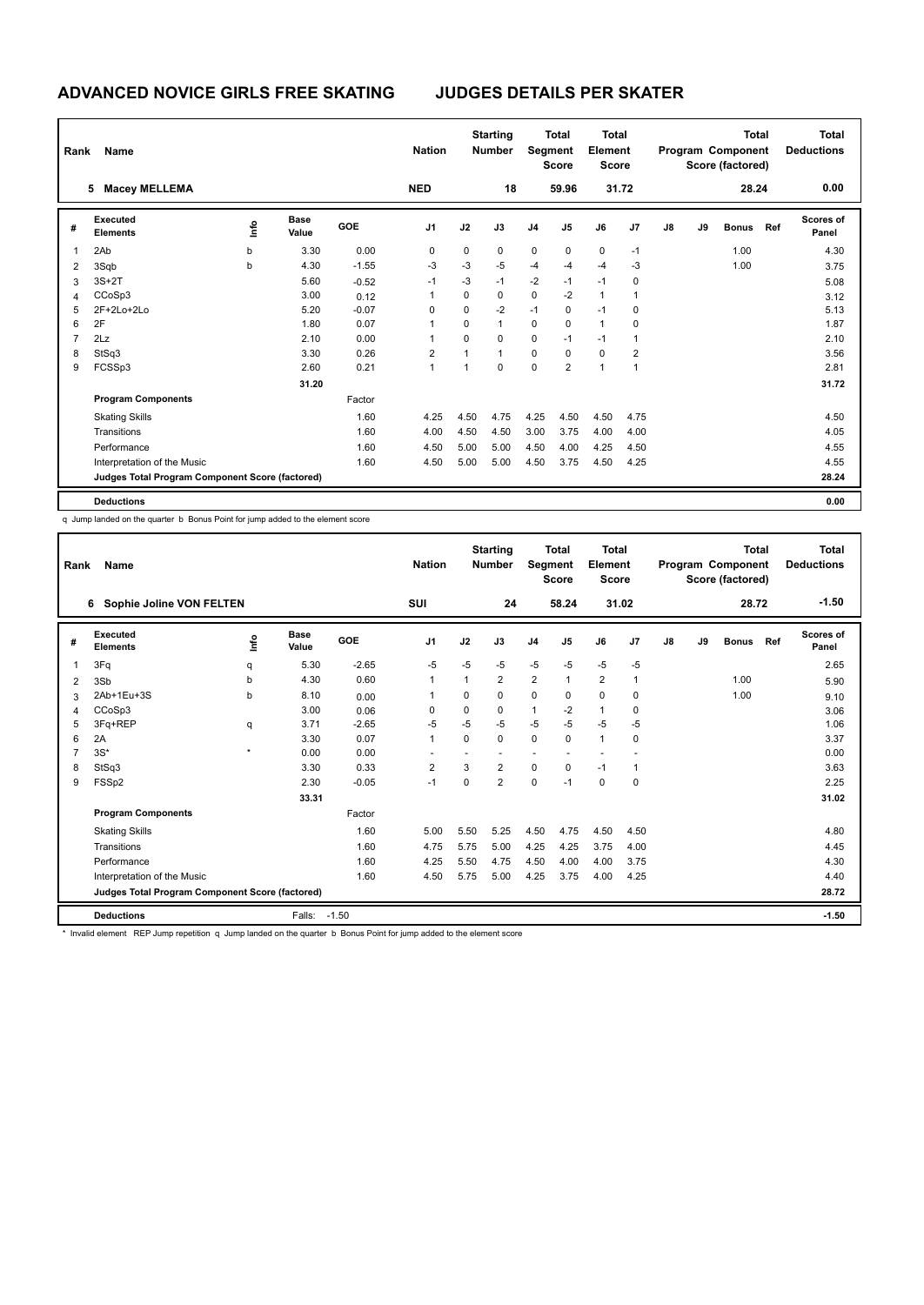| Rank           | Name                                            |      |                      |         | <b>Nation</b>  |             | <b>Starting</b><br><b>Number</b> |                | <b>Total</b><br>Segment<br><b>Score</b> | <b>Total</b><br>Element<br><b>Score</b> |                         |    |    | <b>Total</b><br>Program Component<br>Score (factored) |     | Total<br><b>Deductions</b> |
|----------------|-------------------------------------------------|------|----------------------|---------|----------------|-------------|----------------------------------|----------------|-----------------------------------------|-----------------------------------------|-------------------------|----|----|-------------------------------------------------------|-----|----------------------------|
|                | <b>Macey MELLEMA</b><br>5                       |      |                      |         | <b>NED</b>     |             | 18                               |                | 59.96                                   |                                         | 31.72                   |    |    | 28.24                                                 |     | 0.00                       |
| #              | <b>Executed</b><br><b>Elements</b>              | ١mfo | <b>Base</b><br>Value | GOE     | J <sub>1</sub> | J2          | J3                               | J <sub>4</sub> | J <sub>5</sub>                          | J6                                      | J <sub>7</sub>          | J8 | J9 | <b>Bonus</b>                                          | Ref | Scores of<br>Panel         |
| 1              | 2Ab                                             | b    | 3.30                 | 0.00    | 0              | $\mathbf 0$ | $\mathbf 0$                      | $\pmb{0}$      | $\mathbf 0$                             | $\pmb{0}$                               | $-1$                    |    |    | 1.00                                                  |     | 4.30                       |
| 2              | 3Sqb                                            | b    | 4.30                 | $-1.55$ | $-3$           | $-3$        | $-5$                             | $-4$           | $-4$                                    | $-4$                                    | $-3$                    |    |    | 1.00                                                  |     | 3.75                       |
| 3              | $3S+2T$                                         |      | 5.60                 | $-0.52$ | $-1$           | $-3$        | $-1$                             | $-2$           | $-1$                                    | $-1$                                    | 0                       |    |    |                                                       |     | 5.08                       |
| 4              | CCoSp3                                          |      | 3.00                 | 0.12    |                | $\Omega$    | 0                                | $\mathbf 0$    | $-2$                                    | $\mathbf{1}$                            | 1                       |    |    |                                                       |     | 3.12                       |
| 5              | 2F+2Lo+2Lo                                      |      | 5.20                 | $-0.07$ | 0              | 0           | $-2$                             | $-1$           | 0                                       | $-1$                                    | 0                       |    |    |                                                       |     | 5.13                       |
| 6              | 2F                                              |      | 1.80                 | 0.07    | 1              | $\Omega$    | $\mathbf{1}$                     | $\mathbf 0$    | 0                                       | $\mathbf{1}$                            | 0                       |    |    |                                                       |     | 1.87                       |
| $\overline{7}$ | 2Lz                                             |      | 2.10                 | 0.00    |                | $\Omega$    | $\mathbf 0$                      | $\mathbf 0$    | $-1$                                    | $-1$                                    | 1                       |    |    |                                                       |     | 2.10                       |
| 8              | StSq3                                           |      | 3.30                 | 0.26    | $\overline{2}$ | 1           | $\mathbf{1}$                     | $\mathbf 0$    | 0                                       | $\mathbf 0$                             | $\overline{\mathbf{c}}$ |    |    |                                                       |     | 3.56                       |
| 9              | FCSSp3                                          |      | 2.60                 | 0.21    | $\overline{1}$ | 1           | $\mathbf 0$                      | $\mathbf 0$    | $\overline{2}$                          | $\overline{1}$                          | $\mathbf{1}$            |    |    |                                                       |     | 2.81                       |
|                |                                                 |      | 31.20                |         |                |             |                                  |                |                                         |                                         |                         |    |    |                                                       |     | 31.72                      |
|                | <b>Program Components</b>                       |      |                      | Factor  |                |             |                                  |                |                                         |                                         |                         |    |    |                                                       |     |                            |
|                | <b>Skating Skills</b>                           |      |                      | 1.60    | 4.25           | 4.50        | 4.75                             | 4.25           | 4.50                                    | 4.50                                    | 4.75                    |    |    |                                                       |     | 4.50                       |
|                | Transitions                                     |      |                      | 1.60    | 4.00           | 4.50        | 4.50                             | 3.00           | 3.75                                    | 4.00                                    | 4.00                    |    |    |                                                       |     | 4.05                       |
|                | Performance                                     |      |                      | 1.60    | 4.50           | 5.00        | 5.00                             | 4.50           | 4.00                                    | 4.25                                    | 4.50                    |    |    |                                                       |     | 4.55                       |
|                | Interpretation of the Music                     |      |                      | 1.60    | 4.50           | 5.00        | 5.00                             | 4.50           | 3.75                                    | 4.50                                    | 4.25                    |    |    |                                                       |     | 4.55                       |
|                | Judges Total Program Component Score (factored) |      |                      |         |                |             |                                  |                |                                         |                                         |                         |    |    |                                                       |     | 28.24                      |
|                | <b>Deductions</b>                               |      |                      |         |                |             |                                  |                |                                         |                                         |                         |    |    |                                                       |     | 0.00                       |

q Jump landed on the quarter b Bonus Point for jump added to the element score

| Rank | Name                                            |         |                      |         | <b>Nation</b>  |          | <b>Starting</b><br><b>Number</b> | Segment        | <b>Total</b><br><b>Score</b> | Total<br>Element<br><b>Score</b> |              |    |    | <b>Total</b><br>Program Component<br>Score (factored) |       | <b>Total</b><br><b>Deductions</b> |
|------|-------------------------------------------------|---------|----------------------|---------|----------------|----------|----------------------------------|----------------|------------------------------|----------------------------------|--------------|----|----|-------------------------------------------------------|-------|-----------------------------------|
|      | Sophie Joline VON FELTEN<br>6                   |         |                      |         | <b>SUI</b>     |          | 24                               |                | 58.24                        | 31.02                            |              |    |    | 28.72                                                 |       | $-1.50$                           |
| #    | Executed<br><b>Elements</b>                     | ۴       | <b>Base</b><br>Value | GOE     | J <sub>1</sub> | J2       | J3                               | J <sub>4</sub> | J <sub>5</sub>               | J6                               | J7           | J8 | J9 | <b>Bonus</b>                                          | Ref   | Scores of<br>Panel                |
|      | 3Fq                                             | q       | 5.30                 | $-2.65$ | $-5$           | $-5$     | $-5$                             | $-5$           | $-5$                         | $-5$                             | $-5$         |    |    |                                                       |       | 2.65                              |
| 2    | 3Sb                                             | b       | 4.30                 | 0.60    | 1              | 1        | $\overline{2}$                   | $\overline{2}$ | $\mathbf{1}$                 | $\overline{2}$                   | $\mathbf{1}$ |    |    | 1.00                                                  |       | 5.90                              |
| 3    | 2Ab+1Eu+3S                                      | b       | 8.10                 | 0.00    | 1              | $\Omega$ | 0                                | 0              | 0                            | 0                                | $\mathbf 0$  |    |    | 1.00                                                  |       | 9.10                              |
| 4    | CCoSp3                                          |         | 3.00                 | 0.06    | $\Omega$       | $\Omega$ | 0                                | $\mathbf{1}$   | $-2$                         | $\mathbf{1}$                     | $\mathbf 0$  |    |    |                                                       |       | 3.06                              |
| 5    | 3Fq+REP                                         | q       | 3.71                 | $-2.65$ | $-5$           | $-5$     | $-5$                             | $-5$           | $-5$                         | $-5$                             | $-5$         |    |    |                                                       |       | 1.06                              |
| 6    | 2A                                              |         | 3.30                 | 0.07    | $\mathbf{1}$   | $\Omega$ | 0                                | 0              | $\Omega$                     | $\mathbf{1}$                     | $\mathbf 0$  |    |    |                                                       |       | 3.37                              |
|      | $3S^*$                                          | $\star$ | 0.00                 | 0.00    |                |          |                                  | ٠              |                              | ٠                                |              |    |    |                                                       |       | 0.00                              |
| 8    | StSq3                                           |         | 3.30                 | 0.33    | $\overline{2}$ | 3        | $\overline{2}$                   | 0              | $\Omega$                     | $-1$                             | $\mathbf{1}$ |    |    |                                                       |       | 3.63                              |
| 9    | FSSp2                                           |         | 2.30                 | $-0.05$ | $-1$           | $\Omega$ | $\overline{2}$                   | 0              | $-1$                         | 0                                | $\mathbf 0$  |    |    |                                                       |       | 2.25                              |
|      |                                                 |         | 33.31                |         |                |          |                                  |                |                              |                                  |              |    |    |                                                       |       | 31.02                             |
|      | <b>Program Components</b>                       |         |                      | Factor  |                |          |                                  |                |                              |                                  |              |    |    |                                                       |       |                                   |
|      | <b>Skating Skills</b>                           |         |                      | 1.60    | 5.00           | 5.50     | 5.25                             | 4.50           | 4.75                         | 4.50                             | 4.50         |    |    |                                                       |       | 4.80                              |
|      | Transitions                                     |         |                      | 1.60    | 4.75           | 5.75     | 5.00                             | 4.25           | 4.25                         | 3.75                             | 4.00         |    |    |                                                       |       | 4.45                              |
|      | Performance                                     |         |                      | 1.60    | 4.25           | 5.50     | 4.75                             | 4.50           | 4.00                         | 4.00                             | 3.75         |    |    |                                                       |       | 4.30                              |
|      | Interpretation of the Music                     |         |                      | 1.60    | 4.50           | 5.75     | 5.00                             | 4.25           | 3.75                         | 4.00                             | 4.25         |    |    |                                                       |       | 4.40                              |
|      | Judges Total Program Component Score (factored) |         |                      |         |                |          |                                  |                |                              |                                  |              |    |    |                                                       | 28.72 |                                   |
|      | <b>Deductions</b>                               |         | Falls:               | $-1.50$ |                |          |                                  |                |                              |                                  |              |    |    |                                                       |       | $-1.50$                           |

\* Invalid element REP Jump repetition q Jump landed on the quarter b Bonus Point for jump added to the element score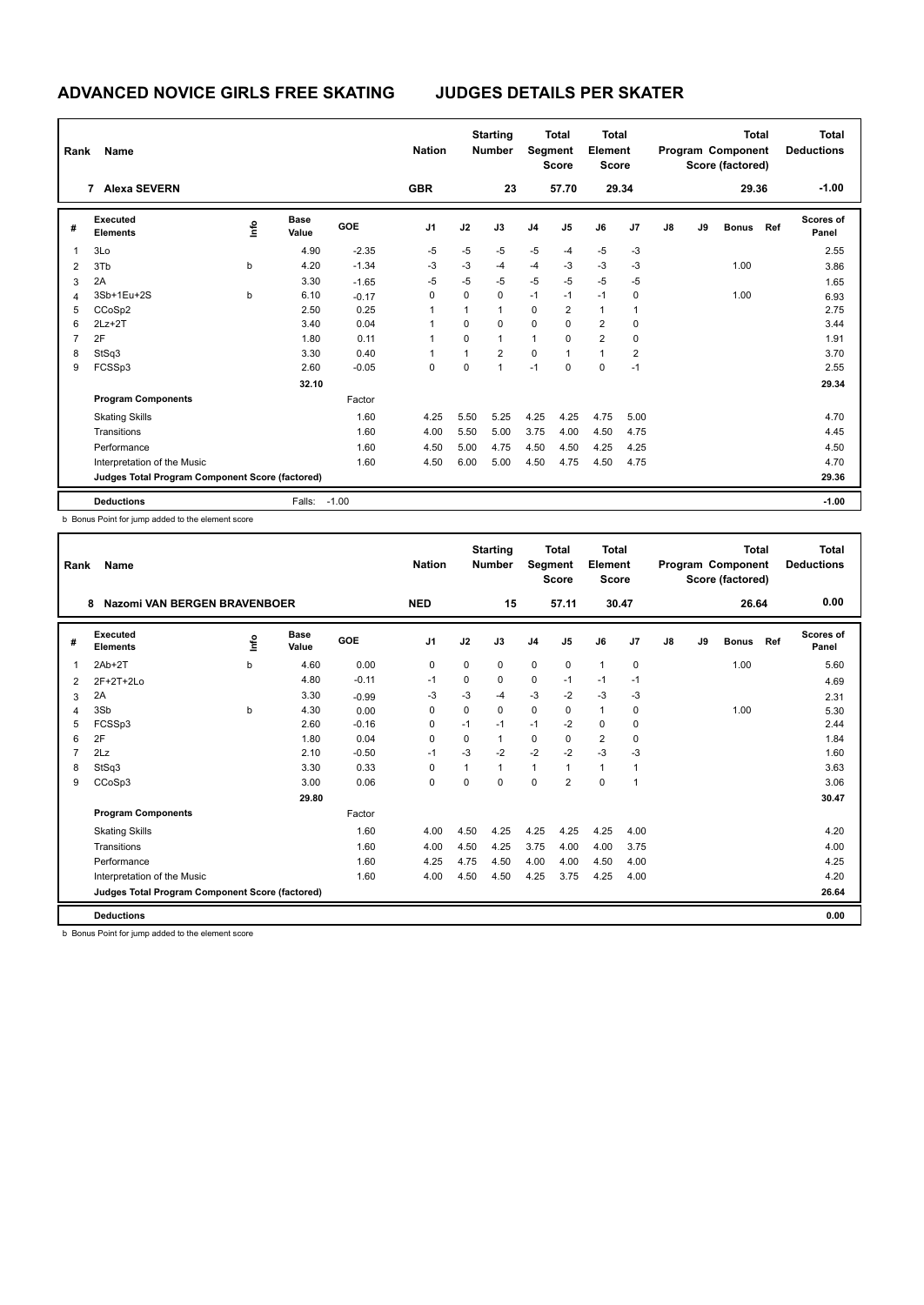| Rank | Name                                                     |    |                      |            | <b>Nation</b> |          | <b>Starting</b><br><b>Number</b> |                | <b>Total</b><br>Segment<br><b>Score</b> | <b>Total</b><br>Element<br><b>Score</b> |       |               |    | <b>Total</b><br>Program Component<br>Score (factored) |     | <b>Total</b><br><b>Deductions</b> |
|------|----------------------------------------------------------|----|----------------------|------------|---------------|----------|----------------------------------|----------------|-----------------------------------------|-----------------------------------------|-------|---------------|----|-------------------------------------------------------|-----|-----------------------------------|
|      | <b>Alexa SEVERN</b><br>$\overline{7}$                    |    |                      |            | <b>GBR</b>    |          | 23                               |                | 57.70                                   |                                         | 29.34 |               |    | 29.36                                                 |     | $-1.00$                           |
| #    | Executed<br><b>Elements</b>                              | ١m | <b>Base</b><br>Value | <b>GOE</b> | J1            | J2       | J3                               | J <sub>4</sub> | J5                                      | J6                                      | J7    | $\mathsf{J}8$ | J9 | <b>Bonus</b>                                          | Ref | <b>Scores of</b><br>Panel         |
| 1    | 3Lo                                                      |    | 4.90                 | $-2.35$    | $-5$          | $-5$     | $-5$                             | $-5$           | $-4$                                    | $-5$                                    | $-3$  |               |    |                                                       |     | 2.55                              |
| 2    | 3Tb                                                      | b  | 4.20                 | $-1.34$    | -3            | $-3$     | -4                               | $-4$           | $-3$                                    | $-3$                                    | -3    |               |    | 1.00                                                  |     | 3.86                              |
| 3    | 2A                                                       |    | 3.30                 | $-1.65$    | $-5$          | $-5$     | $-5$                             | $-5$           | $-5$                                    | $-5$                                    | $-5$  |               |    |                                                       |     | 1.65                              |
| 4    | 3Sb+1Eu+2S                                               | b  | 6.10                 | $-0.17$    | $\Omega$      | $\Omega$ | 0                                | $-1$           | $-1$                                    | $-1$                                    | 0     |               |    | 1.00                                                  |     | 6.93                              |
| 5    | CCoSp2                                                   |    | 2.50                 | 0.25       |               | 1        | $\overline{1}$                   | 0              | $\overline{2}$                          | $\overline{1}$                          |       |               |    |                                                       |     | 2.75                              |
| 6    | $2Lz+2T$                                                 |    | 3.40                 | 0.04       |               | $\Omega$ | $\Omega$                         | $\mathbf 0$    | 0                                       | $\overline{2}$                          | 0     |               |    |                                                       |     | 3.44                              |
| 7    | 2F                                                       |    | 1.80                 | 0.11       | $\mathbf{1}$  | 0        | $\mathbf{1}$                     | $\mathbf{1}$   | 0                                       | $\overline{2}$                          | 0     |               |    |                                                       |     | 1.91                              |
| 8    | StSq3                                                    |    | 3.30                 | 0.40       | 1             | 1        | $\overline{2}$                   | $\mathbf 0$    | 1                                       | $\mathbf{1}$                            | 2     |               |    |                                                       |     | 3.70                              |
| 9    | FCSSp3                                                   |    | 2.60                 | $-0.05$    | 0             | 0        | $\overline{1}$                   | $-1$           | 0                                       | $\mathbf 0$                             | $-1$  |               |    |                                                       |     | 2.55                              |
|      |                                                          |    | 32.10                |            |               |          |                                  |                |                                         |                                         |       |               |    |                                                       |     | 29.34                             |
|      | <b>Program Components</b>                                |    |                      | Factor     |               |          |                                  |                |                                         |                                         |       |               |    |                                                       |     |                                   |
|      | <b>Skating Skills</b>                                    |    |                      | 1.60       | 4.25          | 5.50     | 5.25                             | 4.25           | 4.25                                    | 4.75                                    | 5.00  |               |    |                                                       |     | 4.70                              |
|      | Transitions                                              |    |                      | 1.60       | 4.00          | 5.50     | 5.00                             | 3.75           | 4.00                                    | 4.50                                    | 4.75  |               |    |                                                       |     | 4.45                              |
|      | Performance                                              |    |                      | 1.60       | 4.50          | 5.00     | 4.75                             | 4.50           | 4.50                                    | 4.25                                    | 4.25  |               |    |                                                       |     | 4.50                              |
|      | Interpretation of the Music                              |    |                      | 1.60       | 4.50          | 6.00     | 5.00                             | 4.50           | 4.75                                    | 4.50                                    | 4.75  |               |    |                                                       |     | 4.70                              |
|      | Judges Total Program Component Score (factored)<br>29.36 |    |                      |            |               |          |                                  |                |                                         |                                         |       |               |    |                                                       |     |                                   |
|      | <b>Deductions</b>                                        |    | Falls:               | $-1.00$    |               |          |                                  |                |                                         |                                         |       |               |    |                                                       |     | $-1.00$                           |

b Bonus Point for jump added to the element score

| Rank | Name                                            |      | <b>Nation</b>        |         | <b>Starting</b><br><b>Number</b> | Segment  | Total<br><b>Score</b> | Total<br>Element<br><b>Score</b> |                |                |              | <b>Total</b><br>Program Component<br>Score (factored) |    | <b>Total</b><br><b>Deductions</b> |     |                           |
|------|-------------------------------------------------|------|----------------------|---------|----------------------------------|----------|-----------------------|----------------------------------|----------------|----------------|--------------|-------------------------------------------------------|----|-----------------------------------|-----|---------------------------|
|      | <b>Nazomi VAN BERGEN BRAVENBOER</b><br>8        |      |                      |         | <b>NED</b>                       |          | 15                    |                                  | 57.11          | 30.47          |              |                                                       |    | 26.64                             |     | 0.00                      |
| #    | Executed<br><b>Elements</b>                     | lnfo | <b>Base</b><br>Value | GOE     | J <sub>1</sub>                   | J2       | J3                    | J <sub>4</sub>                   | J5             | J6             | J7           | J8                                                    | J9 | <b>Bonus</b>                      | Ref | <b>Scores of</b><br>Panel |
| 1    | $2Ab+2T$                                        | b    | 4.60                 | 0.00    | 0                                | 0        | $\Omega$              | 0                                | $\mathbf 0$    | $\overline{1}$ | 0            |                                                       |    | 1.00                              |     | 5.60                      |
| 2    | 2F+2T+2Lo                                       |      | 4.80                 | $-0.11$ | $-1$                             | 0        | 0                     | 0                                | $-1$           | $-1$           | $-1$         |                                                       |    |                                   |     | 4.69                      |
| 3    | 2A                                              |      | 3.30                 | $-0.99$ | -3                               | $-3$     | $-4$                  | $-3$                             | $-2$           | $-3$           | -3           |                                                       |    |                                   |     | 2.31                      |
| 4    | 3Sb                                             | b    | 4.30                 | 0.00    | $\Omega$                         | $\Omega$ | $\Omega$              | 0                                | $\Omega$       | $\mathbf{1}$   | 0            |                                                       |    | 1.00                              |     | 5.30                      |
| 5    | FCSSp3                                          |      | 2.60                 | $-0.16$ | 0                                | $-1$     | $-1$                  | $-1$                             | $-2$           | $\mathbf 0$    | $\mathbf 0$  |                                                       |    |                                   |     | 2.44                      |
| 6    | 2F                                              |      | 1.80                 | 0.04    | $\Omega$                         | $\Omega$ | $\mathbf{1}$          | 0                                | 0              | $\overline{2}$ | 0            |                                                       |    |                                   |     | 1.84                      |
| 7    | 2Lz                                             |      | 2.10                 | $-0.50$ | $-1$                             | $-3$     | $-2$                  | $-2$                             | $-2$           | $-3$           | $-3$         |                                                       |    |                                   |     | 1.60                      |
| 8    | StSq3                                           |      | 3.30                 | 0.33    | 0                                | 1        | $\mathbf 1$           | $\mathbf{1}$                     | 1              | $\mathbf{1}$   | $\mathbf{1}$ |                                                       |    |                                   |     | 3.63                      |
| 9    | CCoSp3                                          |      | 3.00                 | 0.06    | $\Omega$                         | $\Omega$ | $\Omega$              | $\Omega$                         | $\overline{2}$ | $\Omega$       | $\mathbf{1}$ |                                                       |    |                                   |     | 3.06                      |
|      |                                                 |      | 29.80                |         |                                  |          |                       |                                  |                |                |              |                                                       |    |                                   |     | 30.47                     |
|      | <b>Program Components</b>                       |      |                      | Factor  |                                  |          |                       |                                  |                |                |              |                                                       |    |                                   |     |                           |
|      | <b>Skating Skills</b>                           |      |                      | 1.60    | 4.00                             | 4.50     | 4.25                  | 4.25                             | 4.25           | 4.25           | 4.00         |                                                       |    |                                   |     | 4.20                      |
|      | Transitions                                     |      |                      | 1.60    | 4.00                             | 4.50     | 4.25                  | 3.75                             | 4.00           | 4.00           | 3.75         |                                                       |    |                                   |     | 4.00                      |
|      | Performance                                     |      |                      | 1.60    | 4.25                             | 4.75     | 4.50                  | 4.00                             | 4.00           | 4.50           | 4.00         |                                                       |    |                                   |     | 4.25                      |
|      | Interpretation of the Music                     |      |                      | 1.60    | 4.00                             | 4.50     | 4.50                  | 4.25                             | 3.75           | 4.25           | 4.00         |                                                       |    |                                   |     | 4.20                      |
|      | Judges Total Program Component Score (factored) |      |                      |         |                                  |          |                       |                                  |                |                |              |                                                       |    |                                   |     | 26.64                     |
|      | <b>Deductions</b>                               |      |                      |         |                                  |          |                       |                                  |                |                |              |                                                       |    |                                   |     | 0.00                      |

b Bonus Point for jump added to the element score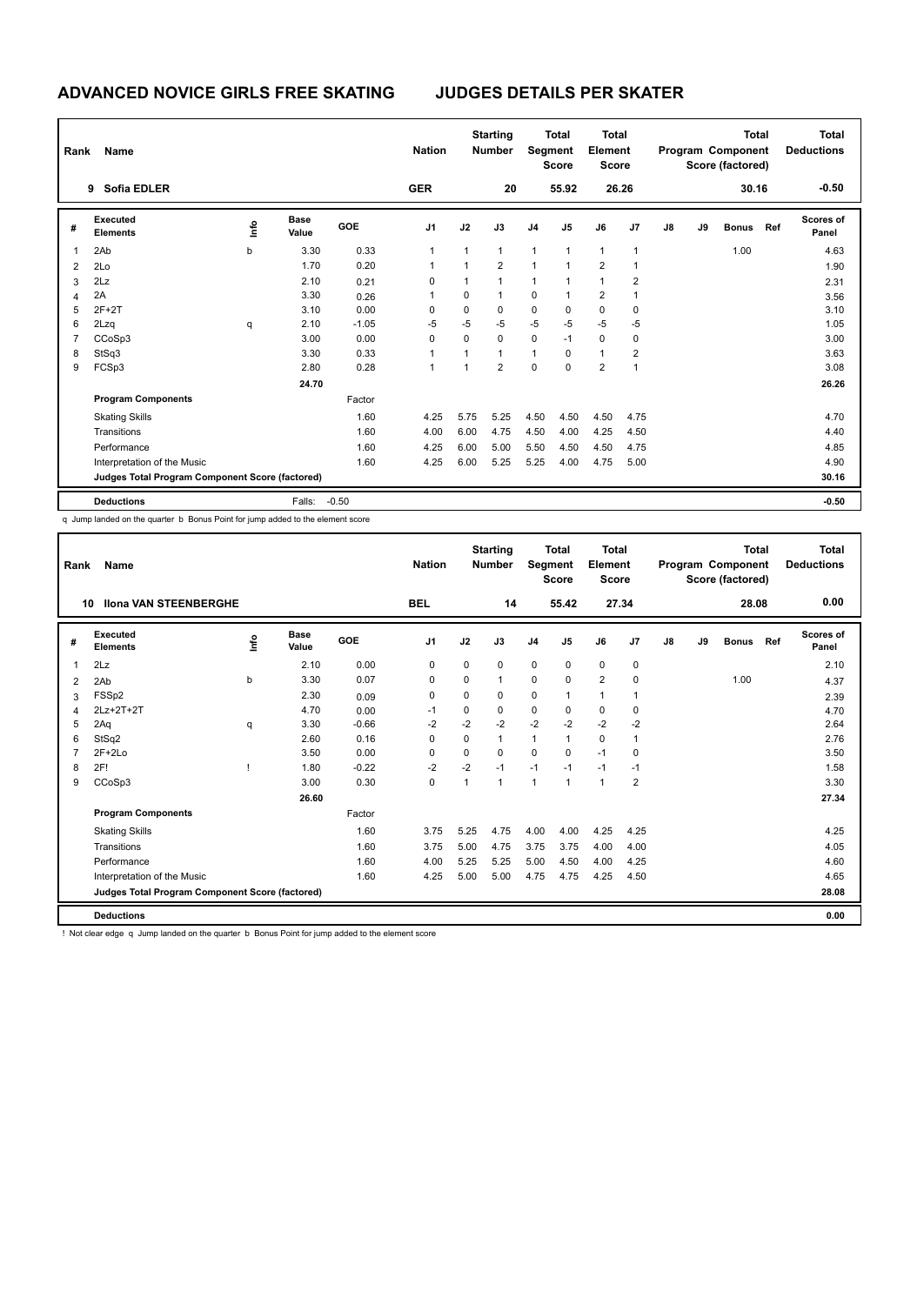| Rank | Name                                            |    |                      |         | <b>Nation</b>  |              | <b>Starting</b><br><b>Number</b> | <b>Segment</b> | Total<br><b>Score</b> | Total<br>Element<br><b>Score</b> |              |               |    | <b>Total</b><br>Program Component<br>Score (factored) |     | Total<br><b>Deductions</b> |
|------|-------------------------------------------------|----|----------------------|---------|----------------|--------------|----------------------------------|----------------|-----------------------|----------------------------------|--------------|---------------|----|-------------------------------------------------------|-----|----------------------------|
|      | <b>Sofia EDLER</b><br>9                         |    |                      |         | <b>GER</b>     |              | 20                               |                | 55.92                 |                                  | 26.26        |               |    | 30.16                                                 |     | $-0.50$                    |
| #    | Executed<br><b>Elements</b>                     | ١m | <b>Base</b><br>Value | GOE     | J <sub>1</sub> | J2           | J3                               | J <sub>4</sub> | J5                    | J6                               | J7           | $\mathsf{J}8$ | J9 | <b>Bonus</b>                                          | Ref | <b>Scores of</b><br>Panel  |
| 1    | 2Ab                                             | b  | 3.30                 | 0.33    | 1              | $\mathbf{1}$ | $\mathbf{1}$                     | $\mathbf{1}$   | 1                     | $\mathbf{1}$                     | $\mathbf{1}$ |               |    | 1.00                                                  |     | 4.63                       |
| 2    | 2Lo                                             |    | 1.70                 | 0.20    |                | 1            | $\overline{2}$                   | $\mathbf{1}$   | 1                     | $\overline{2}$                   |              |               |    |                                                       |     | 1.90                       |
| 3    | 2Lz                                             |    | 2.10                 | 0.21    | $\Omega$       | $\mathbf{1}$ | $\mathbf{1}$                     | $\mathbf{1}$   | 1                     | $\overline{1}$                   | 2            |               |    |                                                       |     | 2.31                       |
| 4    | 2A                                              |    | 3.30                 | 0.26    |                | $\Omega$     | $\mathbf{1}$                     | 0              | 1                     | $\overline{2}$                   |              |               |    |                                                       |     | 3.56                       |
| 5    | $2F+2T$                                         |    | 3.10                 | 0.00    | $\Omega$       | $\Omega$     | $\Omega$                         | $\pmb{0}$      | $\Omega$              | $\mathbf 0$                      | 0            |               |    |                                                       |     | 3.10                       |
| 6    | 2Lzq                                            | q  | 2.10                 | $-1.05$ | $-5$           | -5           | $-5$                             | $-5$           | -5                    | $-5$                             | $-5$         |               |    |                                                       |     | 1.05                       |
| 7    | CCoSp3                                          |    | 3.00                 | 0.00    | $\Omega$       | $\Omega$     | $\Omega$                         | $\mathbf 0$    | $-1$                  | 0                                | 0            |               |    |                                                       |     | 3.00                       |
| 8    | StSq3                                           |    | 3.30                 | 0.33    |                | 1            | $\overline{1}$                   | $\mathbf{1}$   | 0                     | $\overline{1}$                   | 2            |               |    |                                                       |     | 3.63                       |
| 9    | FCSp3                                           |    | 2.80                 | 0.28    | 1              | 1            | $\overline{2}$                   | $\Omega$       | $\Omega$              | $\overline{2}$                   | 1            |               |    |                                                       |     | 3.08                       |
|      |                                                 |    | 24.70                |         |                |              |                                  |                |                       |                                  |              |               |    |                                                       |     | 26.26                      |
|      | <b>Program Components</b>                       |    |                      | Factor  |                |              |                                  |                |                       |                                  |              |               |    |                                                       |     |                            |
|      | <b>Skating Skills</b>                           |    |                      | 1.60    | 4.25           | 5.75         | 5.25                             | 4.50           | 4.50                  | 4.50                             | 4.75         |               |    |                                                       |     | 4.70                       |
|      | Transitions                                     |    |                      | 1.60    | 4.00           | 6.00         | 4.75                             | 4.50           | 4.00                  | 4.25                             | 4.50         |               |    |                                                       |     | 4.40                       |
|      | Performance                                     |    |                      | 1.60    | 4.25           | 6.00         | 5.00                             | 5.50           | 4.50                  | 4.50                             | 4.75         |               |    |                                                       |     | 4.85                       |
|      | Interpretation of the Music                     |    |                      | 1.60    | 4.25           | 6.00         | 5.25                             | 5.25           | 4.00                  | 4.75                             | 5.00         |               |    |                                                       |     | 4.90                       |
|      | Judges Total Program Component Score (factored) |    |                      |         |                |              |                                  |                |                       |                                  |              |               |    |                                                       |     | 30.16                      |
|      | <b>Deductions</b>                               |    | Falls:               | $-0.50$ |                |              |                                  |                |                       |                                  |              |               |    |                                                       |     | $-0.50$                    |

q Jump landed on the quarter b Bonus Point for jump added to the element score

| Rank | Name                                            |      |                      |         | <b>Nation</b>  |              | <b>Starting</b><br><b>Number</b> | Segment        | Total<br><b>Score</b> | Total<br>Element<br><b>Score</b> |                |    |    | <b>Total</b><br>Program Component<br>Score (factored) |     | <b>Total</b><br><b>Deductions</b> |
|------|-------------------------------------------------|------|----------------------|---------|----------------|--------------|----------------------------------|----------------|-----------------------|----------------------------------|----------------|----|----|-------------------------------------------------------|-----|-----------------------------------|
| 10   | <b>Ilona VAN STEENBERGHE</b>                    |      |                      |         | <b>BEL</b>     |              | 14                               |                | 55.42                 | 27.34                            |                |    |    | 28.08                                                 |     | 0.00                              |
| #    | <b>Executed</b><br><b>Elements</b>              | info | <b>Base</b><br>Value | GOE     | J <sub>1</sub> | J2           | J3                               | J <sub>4</sub> | J <sub>5</sub>        | J6                               | J <sub>7</sub> | J8 | J9 | <b>Bonus</b>                                          | Ref | <b>Scores of</b><br>Panel         |
| 1    | 2Lz                                             |      | 2.10                 | 0.00    | $\mathbf 0$    | $\Omega$     | $\Omega$                         | $\Omega$       | $\mathbf 0$           | $\pmb{0}$                        | $\mathbf 0$    |    |    |                                                       |     | 2.10                              |
| 2    | 2Ab                                             | b    | 3.30                 | 0.07    | 0              | 0            |                                  | 0              | 0                     | $\overline{2}$                   | 0              |    |    | 1.00                                                  |     | 4.37                              |
| 3    | FSSp2                                           |      | 2.30                 | 0.09    | 0              | $\Omega$     | 0                                | $\mathbf 0$    | 1                     | $\mathbf{1}$                     | 1              |    |    |                                                       |     | 2.39                              |
| 4    | 2Lz+2T+2T                                       |      | 4.70                 | 0.00    | $-1$           | 0            | 0                                | 0              | 0                     | 0                                | 0              |    |    |                                                       |     | 4.70                              |
| 5    | 2Aq                                             | q    | 3.30                 | $-0.66$ | $-2$           | $-2$         | $-2$                             | $-2$           | $-2$                  | $-2$                             | $-2$           |    |    |                                                       |     | 2.64                              |
| 6    | StSq2                                           |      | 2.60                 | 0.16    | $\Omega$       | 0            | 1                                | 1              | $\mathbf{1}$          | 0                                | $\mathbf{1}$   |    |    |                                                       |     | 2.76                              |
|      | $2F+2Lo$                                        |      | 3.50                 | 0.00    | 0              | 0            | 0                                | 0              | $\Omega$              | $-1$                             | 0              |    |    |                                                       |     | 3.50                              |
| 8    | 2F!                                             |      | 1.80                 | $-0.22$ | $-2$           | $-2$         | $-1$                             | $-1$           | $-1$                  | $-1$                             | $-1$           |    |    |                                                       |     | 1.58                              |
| 9    | CCoSp3                                          |      | 3.00                 | 0.30    | $\mathbf 0$    | $\mathbf{1}$ | 1                                | 1              | $\mathbf{1}$          | $\mathbf{1}$                     | $\overline{2}$ |    |    |                                                       |     | 3.30                              |
|      |                                                 |      | 26.60                |         |                |              |                                  |                |                       |                                  |                |    |    |                                                       |     | 27.34                             |
|      | <b>Program Components</b>                       |      |                      | Factor  |                |              |                                  |                |                       |                                  |                |    |    |                                                       |     |                                   |
|      | <b>Skating Skills</b>                           |      |                      | 1.60    | 3.75           | 5.25         | 4.75                             | 4.00           | 4.00                  | 4.25                             | 4.25           |    |    |                                                       |     | 4.25                              |
|      | Transitions                                     |      |                      | 1.60    | 3.75           | 5.00         | 4.75                             | 3.75           | 3.75                  | 4.00                             | 4.00           |    |    |                                                       |     | 4.05                              |
|      | Performance                                     |      |                      | 1.60    | 4.00           | 5.25         | 5.25                             | 5.00           | 4.50                  | 4.00                             | 4.25           |    |    |                                                       |     | 4.60                              |
|      | Interpretation of the Music                     |      |                      | 1.60    | 4.25           | 5.00         | 5.00                             | 4.75           | 4.75                  | 4.25                             | 4.50           |    |    |                                                       |     | 4.65                              |
|      | Judges Total Program Component Score (factored) |      |                      |         |                |              |                                  |                |                       |                                  |                |    |    |                                                       |     | 28.08                             |
|      | <b>Deductions</b>                               |      |                      |         |                |              |                                  |                |                       |                                  |                |    |    |                                                       |     | 0.00                              |

! Not clear edge q Jump landed on the quarter b Bonus Point for jump added to the element score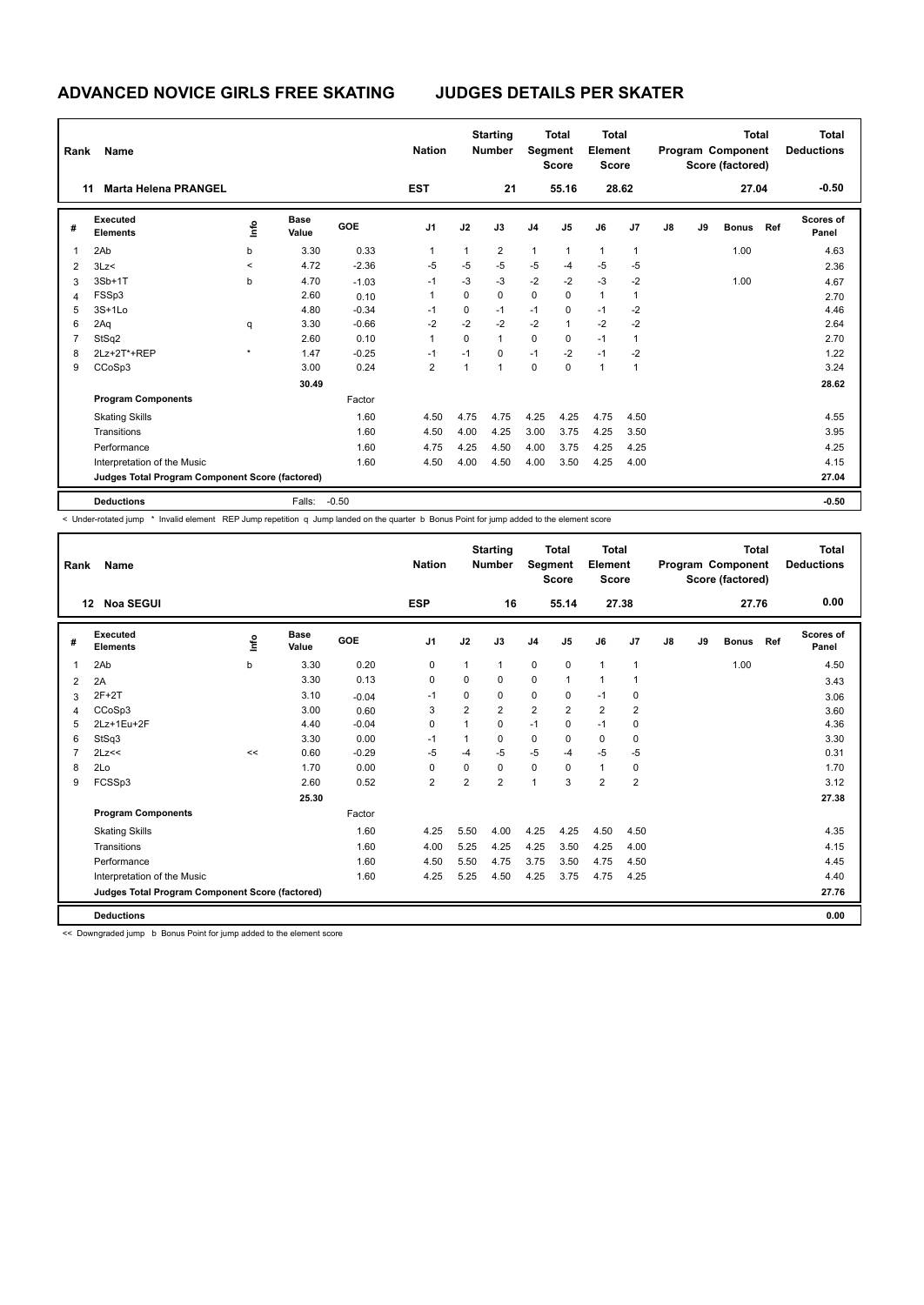| Rank           | Name                                            |         |                      |         | <b>Nation</b>  |              | <b>Starting</b><br><b>Number</b> | <b>Segment</b> | <b>Total</b><br><b>Score</b> | <b>Total</b><br>Element<br><b>Score</b> |                |               |    | <b>Total</b><br>Program Component<br>Score (factored) |     | Total<br><b>Deductions</b> |
|----------------|-------------------------------------------------|---------|----------------------|---------|----------------|--------------|----------------------------------|----------------|------------------------------|-----------------------------------------|----------------|---------------|----|-------------------------------------------------------|-----|----------------------------|
| 11             | <b>Marta Helena PRANGEL</b>                     |         |                      |         | <b>EST</b>     |              | 21                               |                | 55.16                        |                                         | 28.62          |               |    | 27.04                                                 |     | $-0.50$                    |
| #              | Executed<br><b>Elements</b>                     | lnfo    | <b>Base</b><br>Value | GOE     | J <sub>1</sub> | J2           | J3                               | J <sub>4</sub> | J <sub>5</sub>               | J6                                      | J <sub>7</sub> | $\mathsf{J}8$ | J9 | <b>Bonus</b>                                          | Ref | Scores of<br>Panel         |
| 1              | 2Ab                                             | b       | 3.30                 | 0.33    | 1              | 1            | $\overline{2}$                   | 1              | 1                            | $\mathbf{1}$                            | 1              |               |    | 1.00                                                  |     | 4.63                       |
| 2              | 3Lz<                                            | $\,<\,$ | 4.72                 | $-2.36$ | $-5$           | $-5$         | $-5$                             | $-5$           | $-4$                         | $-5$                                    | $-5$           |               |    |                                                       |     | 2.36                       |
| 3              | 3Sb+1T                                          | b       | 4.70                 | $-1.03$ | $-1$           | $-3$         | $-3$                             | $-2$           | $-2$                         | $-3$                                    | $-2$           |               |    | 1.00                                                  |     | 4.67                       |
| 4              | FSSp3                                           |         | 2.60                 | 0.10    | 1              | 0            | 0                                | $\mathbf 0$    | $\Omega$                     | $\mathbf{1}$                            | 1              |               |    |                                                       |     | 2.70                       |
| 5              | $3S+1Lo$                                        |         | 4.80                 | $-0.34$ | $-1$           | 0            | $-1$                             | $-1$           | $\Omega$                     | $-1$                                    | $-2$           |               |    |                                                       |     | 4.46                       |
| 6              | 2Aq                                             | q       | 3.30                 | $-0.66$ | $-2$           | $-2$         | $-2$                             | $-2$           | $\mathbf{1}$                 | $-2$                                    | $-2$           |               |    |                                                       |     | 2.64                       |
| $\overline{7}$ | StSq2                                           |         | 2.60                 | 0.10    | 1              | $\Omega$     | $\mathbf{1}$                     | $\pmb{0}$      | $\Omega$                     | $-1$                                    | 1              |               |    |                                                       |     | 2.70                       |
| 8              | 2Lz+2T*+REP                                     | $\star$ | 1.47                 | $-0.25$ | $-1$           | $-1$         | 0                                | $-1$           | $-2$                         | $-1$                                    | $-2$           |               |    |                                                       |     | 1.22                       |
| 9              | CCoSp3                                          |         | 3.00                 | 0.24    | $\overline{2}$ | $\mathbf{1}$ | 1                                | $\Omega$       | $\Omega$                     | $\mathbf{1}$                            | $\mathbf{1}$   |               |    |                                                       |     | 3.24                       |
|                |                                                 |         | 30.49                |         |                |              |                                  |                |                              |                                         |                |               |    |                                                       |     | 28.62                      |
|                | <b>Program Components</b>                       |         |                      | Factor  |                |              |                                  |                |                              |                                         |                |               |    |                                                       |     |                            |
|                | <b>Skating Skills</b>                           |         |                      | 1.60    | 4.50           | 4.75         | 4.75                             | 4.25           | 4.25                         | 4.75                                    | 4.50           |               |    |                                                       |     | 4.55                       |
|                | Transitions                                     |         |                      | 1.60    | 4.50           | 4.00         | 4.25                             | 3.00           | 3.75                         | 4.25                                    | 3.50           |               |    |                                                       |     | 3.95                       |
|                | Performance                                     |         |                      | 1.60    | 4.75           | 4.25         | 4.50                             | 4.00           | 3.75                         | 4.25                                    | 4.25           |               |    |                                                       |     | 4.25                       |
|                | Interpretation of the Music                     |         |                      | 1.60    | 4.50           | 4.00         | 4.50                             | 4.00           | 3.50                         | 4.25                                    | 4.00           |               |    |                                                       |     | 4.15                       |
|                | Judges Total Program Component Score (factored) |         |                      |         |                |              |                                  |                |                              |                                         |                |               |    |                                                       |     | 27.04                      |
|                | <b>Deductions</b>                               |         | Falls:               | $-0.50$ |                |              |                                  |                |                              |                                         |                |               |    |                                                       |     | $-0.50$                    |

< Under-rotated jump \* Invalid element REP Jump repetition q Jump landed on the quarter b Bonus Point for jump added to the element score

| Rank | Name                                            |             |               |         | <b>Nation</b>  |                | <b>Starting</b><br><b>Number</b> | Segment        | <b>Total</b><br><b>Score</b> | <b>Total</b><br>Element<br><b>Score</b> |                |    |    | <b>Total</b><br>Program Component<br>Score (factored) |     | <b>Total</b><br><b>Deductions</b> |
|------|-------------------------------------------------|-------------|---------------|---------|----------------|----------------|----------------------------------|----------------|------------------------------|-----------------------------------------|----------------|----|----|-------------------------------------------------------|-----|-----------------------------------|
| 12   | <b>Noa SEGUI</b>                                |             |               |         | <b>ESP</b>     |                | 16                               |                | 55.14                        | 27.38                                   |                |    |    | 27.76                                                 |     | 0.00                              |
| #    | Executed<br><b>Elements</b>                     | <u>info</u> | Base<br>Value | GOE     | J <sub>1</sub> | J2             | J3                               | J <sub>4</sub> | J <sub>5</sub>               | J6                                      | J7             | J8 | J9 | <b>Bonus</b>                                          | Ref | Scores of<br>Panel                |
| 1    | 2Ab                                             | b           | 3.30          | 0.20    | 0              | $\mathbf{1}$   | 1                                | $\mathbf 0$    | $\mathbf 0$                  | $\overline{1}$                          | $\mathbf{1}$   |    |    | 1.00                                                  |     | 4.50                              |
| 2    | 2A                                              |             | 3.30          | 0.13    | 0              | 0              | 0                                | $\mathbf 0$    | $\mathbf{1}$                 | $\mathbf{1}$                            | -1             |    |    |                                                       |     | 3.43                              |
| 3    | $2F+2T$                                         |             | 3.10          | $-0.04$ | $-1$           | $\Omega$       | 0                                | $\Omega$       | $\Omega$                     | $-1$                                    | 0              |    |    |                                                       |     | 3.06                              |
| 4    | CCoSp3                                          |             | 3.00          | 0.60    | 3              | $\overline{2}$ | $\overline{2}$                   | $\overline{2}$ | $\overline{2}$               | $\overline{2}$                          | $\overline{2}$ |    |    |                                                       |     | 3.60                              |
| 5    | 2Lz+1Eu+2F                                      |             | 4.40          | $-0.04$ | 0              | $\overline{1}$ | 0                                | $-1$           | $\Omega$                     | $-1$                                    | $\mathbf 0$    |    |    |                                                       |     | 4.36                              |
| 6    | StSq3                                           |             | 3.30          | 0.00    | $-1$           | 1              | 0                                | 0              | 0                            | $\mathbf 0$                             | 0              |    |    |                                                       |     | 3.30                              |
| 7    | 2Lz<<                                           | <<          | 0.60          | $-0.29$ | $-5$           | $-4$           | $-5$                             | $-5$           | $-4$                         | $-5$                                    | -5             |    |    |                                                       |     | 0.31                              |
| 8    | 2Lo                                             |             | 1.70          | 0.00    | 0              | $\Omega$       | 0                                | 0              | $\Omega$                     | $\mathbf{1}$                            | 0              |    |    |                                                       |     | 1.70                              |
| 9    | FCSSp3                                          |             | 2.60          | 0.52    | $\overline{2}$ | $\overline{2}$ | $\overline{2}$                   | 1              | 3                            | $\overline{2}$                          | $\overline{2}$ |    |    |                                                       |     | 3.12                              |
|      |                                                 |             | 25.30         |         |                |                |                                  |                |                              |                                         |                |    |    |                                                       |     | 27.38                             |
|      | <b>Program Components</b>                       |             |               | Factor  |                |                |                                  |                |                              |                                         |                |    |    |                                                       |     |                                   |
|      | <b>Skating Skills</b>                           |             |               | 1.60    | 4.25           | 5.50           | 4.00                             | 4.25           | 4.25                         | 4.50                                    | 4.50           |    |    |                                                       |     | 4.35                              |
|      | Transitions                                     |             |               | 1.60    | 4.00           | 5.25           | 4.25                             | 4.25           | 3.50                         | 4.25                                    | 4.00           |    |    |                                                       |     | 4.15                              |
|      | Performance                                     |             |               | 1.60    | 4.50           | 5.50           | 4.75                             | 3.75           | 3.50                         | 4.75                                    | 4.50           |    |    |                                                       |     | 4.45                              |
|      | Interpretation of the Music                     |             |               | 1.60    | 4.25           | 5.25           | 4.50                             | 4.25           | 3.75                         | 4.75                                    | 4.25           |    |    |                                                       |     | 4.40                              |
|      | Judges Total Program Component Score (factored) |             |               |         |                |                |                                  |                |                              |                                         |                |    |    |                                                       |     | 27.76                             |
|      | <b>Deductions</b>                               |             |               |         |                |                |                                  |                |                              |                                         |                |    |    |                                                       |     | 0.00                              |

<< Downgraded jump b Bonus Point for jump added to the element score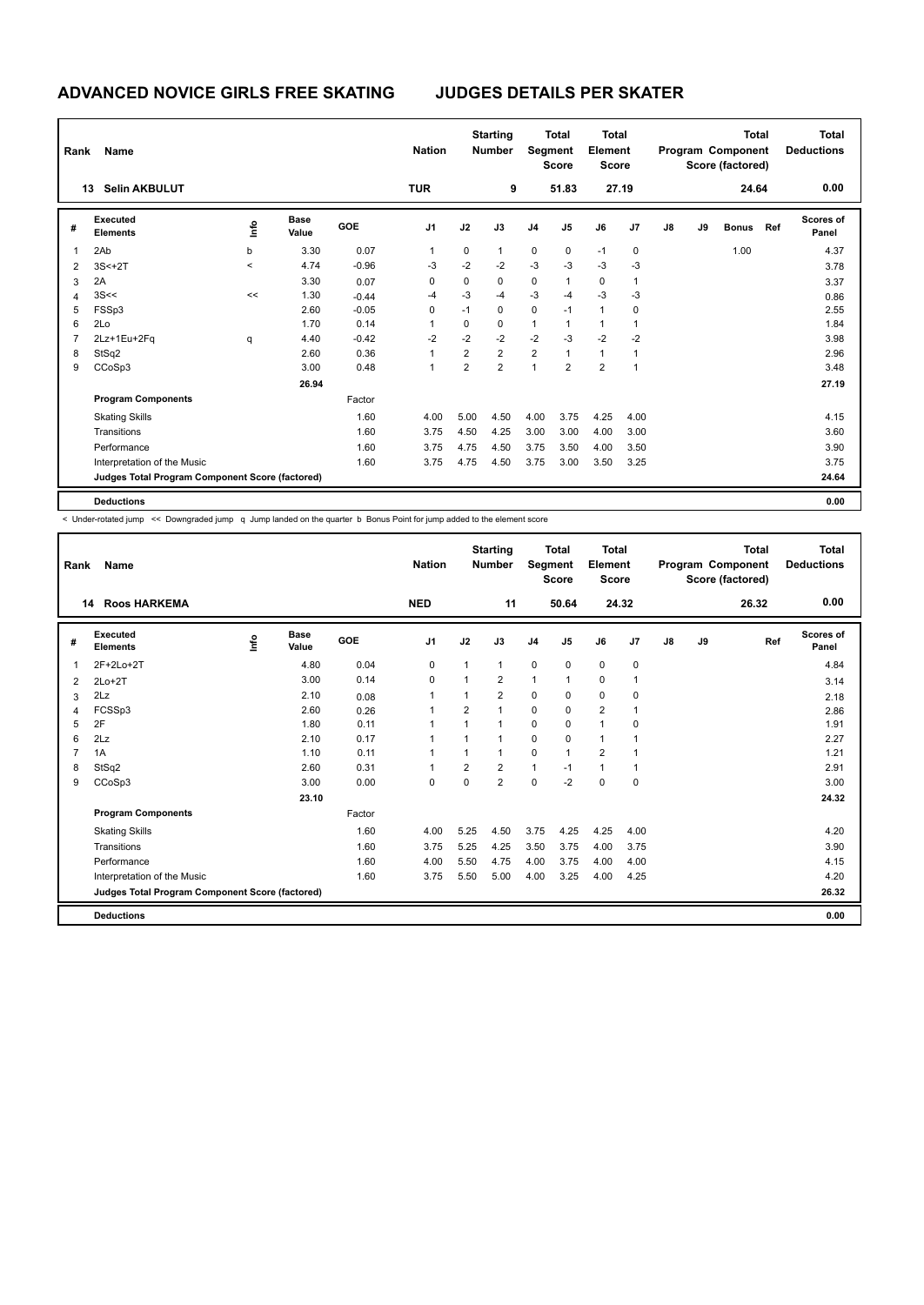| Rank           | Name                                            |                          |                      |            | <b>Nation</b>  |                | <b>Starting</b><br><b>Number</b> |                | <b>Total</b><br>Segment<br><b>Score</b> | <b>Total</b><br>Element<br><b>Score</b> |             |    |    | <b>Total</b><br>Program Component<br>Score (factored) |     | <b>Total</b><br><b>Deductions</b> |  |
|----------------|-------------------------------------------------|--------------------------|----------------------|------------|----------------|----------------|----------------------------------|----------------|-----------------------------------------|-----------------------------------------|-------------|----|----|-------------------------------------------------------|-----|-----------------------------------|--|
|                | <b>Selin AKBULUT</b><br>13                      |                          |                      |            | <b>TUR</b>     |                | 9                                |                | 51.83                                   |                                         | 27.19       |    |    | 24.64                                                 |     | 0.00                              |  |
| #              | <b>Executed</b><br><b>Elements</b>              | lnfo                     | <b>Base</b><br>Value | <b>GOE</b> | J <sub>1</sub> | J2             | J3                               | J <sub>4</sub> | J5                                      | J6                                      | J7          | J8 | J9 | <b>Bonus</b>                                          | Ref | <b>Scores of</b><br>Panel         |  |
| 1              | 2Ab                                             | b                        | 3.30                 | 0.07       | 1              | 0              | $\mathbf{1}$                     | $\mathbf 0$    | 0                                       | $-1$                                    | $\mathbf 0$ |    |    | 1.00                                                  |     | 4.37                              |  |
| 2              | $3S<+2T$                                        | $\overline{\phantom{a}}$ | 4.74                 | $-0.96$    | $-3$           | $-2$           | $-2$                             | $-3$           | $-3$                                    | $-3$                                    | $-3$        |    |    |                                                       |     | 3.78                              |  |
| 3              | 2A                                              |                          | 3.30                 | 0.07       | 0              | 0              | $\mathbf 0$                      | $\mathbf 0$    | 1                                       | $\mathbf 0$                             | 1           |    |    |                                                       |     | 3.37                              |  |
| 4              | 3S<<                                            | <<                       | 1.30                 | $-0.44$    | $-4$           | $-3$           | $-4$                             | $-3$           | $-4$                                    | $-3$                                    | $-3$        |    |    |                                                       |     | 0.86                              |  |
| 5              | FSSp3                                           |                          | 2.60                 | $-0.05$    | 0              | $-1$           | 0                                | $\mathbf 0$    | $-1$                                    | $\overline{1}$                          | 0           |    |    |                                                       |     | 2.55                              |  |
| 6              | 2Lo                                             |                          | 1.70                 | 0.14       | 1              | 0              | $\mathbf 0$                      | $\mathbf{1}$   | 1                                       | $\overline{1}$                          |             |    |    |                                                       |     | 1.84                              |  |
| $\overline{7}$ | 2Lz+1Eu+2Fq                                     | q                        | 4.40                 | $-0.42$    | $-2$           | $-2$           | $-2$                             | $-2$           | $-3$                                    | $-2$                                    | $-2$        |    |    |                                                       |     | 3.98                              |  |
| 8              | StSq2                                           |                          | 2.60                 | 0.36       |                | $\overline{2}$ | $\overline{2}$                   | $\overline{2}$ | 1                                       | $\mathbf{1}$                            | 1           |    |    |                                                       |     | 2.96                              |  |
| 9              | CCoSp3                                          |                          | 3.00                 | 0.48       | 1              | $\overline{2}$ | $\overline{2}$                   | $\mathbf{1}$   | $\overline{2}$                          | $\overline{2}$                          | 1           |    |    |                                                       |     | 3.48                              |  |
|                |                                                 |                          | 26.94                |            |                |                |                                  |                |                                         |                                         |             |    |    |                                                       |     | 27.19                             |  |
|                | <b>Program Components</b>                       |                          |                      | Factor     |                |                |                                  |                |                                         |                                         |             |    |    |                                                       |     |                                   |  |
|                | <b>Skating Skills</b>                           |                          |                      | 1.60       | 4.00           | 5.00           | 4.50                             | 4.00           | 3.75                                    | 4.25                                    | 4.00        |    |    |                                                       |     | 4.15                              |  |
|                | Transitions                                     |                          |                      | 1.60       | 3.75           | 4.50           | 4.25                             | 3.00           | 3.00                                    | 4.00                                    | 3.00        |    |    |                                                       |     | 3.60                              |  |
|                | Performance                                     |                          |                      | 1.60       | 3.75           | 4.75           | 4.50                             | 3.75           | 3.50                                    | 4.00                                    | 3.50        |    |    |                                                       |     | 3.90                              |  |
|                | Interpretation of the Music                     |                          |                      | 1.60       | 3.75           | 4.75           | 4.50                             | 3.75           | 3.00                                    | 3.50                                    | 3.25        |    |    |                                                       |     | 3.75                              |  |
|                | Judges Total Program Component Score (factored) |                          |                      |            |                |                |                                  |                |                                         |                                         |             |    |    |                                                       |     | 24.64                             |  |
|                | <b>Deductions</b>                               |                          |                      |            |                |                |                                  |                |                                         |                                         |             |    |    |                                                       |     | 0.00                              |  |

< Under-rotated jump << Downgraded jump q Jump landed on the quarter b Bonus Point for jump added to the element score

| Rank           | <b>Name</b>                                     |    |                      |        | <b>Nation</b>  |                | <b>Starting</b><br><b>Number</b> | Segment        | Total<br><b>Score</b> | Total<br>Element<br><b>Score</b> |              |    |    | <b>Total</b><br>Program Component<br>Score (factored) | <b>Total</b><br><b>Deductions</b> |
|----------------|-------------------------------------------------|----|----------------------|--------|----------------|----------------|----------------------------------|----------------|-----------------------|----------------------------------|--------------|----|----|-------------------------------------------------------|-----------------------------------|
|                | <b>Roos HARKEMA</b><br>14                       |    |                      |        | <b>NED</b>     |                | 11                               |                | 50.64                 |                                  | 24.32        |    |    | 26.32                                                 | 0.00                              |
| #              | <b>Executed</b><br><b>Elements</b>              | ۴ô | <b>Base</b><br>Value | GOE    | J <sub>1</sub> | J2             | J3                               | J <sub>4</sub> | J <sub>5</sub>        | J6                               | J7           | J8 | J9 | Ref                                                   | Scores of<br>Panel                |
| 1              | 2F+2Lo+2T                                       |    | 4.80                 | 0.04   | 0              | $\mathbf{1}$   | 1                                | $\mathbf 0$    | 0                     | $\mathbf 0$                      | $\mathbf 0$  |    |    |                                                       | 4.84                              |
| 2              | $2Lo+2T$                                        |    | 3.00                 | 0.14   | $\mathbf 0$    | 1              | $\overline{2}$                   | $\mathbf{1}$   | 1                     | 0                                | $\mathbf{1}$ |    |    |                                                       | 3.14                              |
| 3              | 2Lz                                             |    | 2.10                 | 0.08   | $\mathbf{1}$   | $\mathbf 1$    | $\overline{2}$                   | $\mathbf 0$    | 0                     | $\mathbf 0$                      | 0            |    |    |                                                       | 2.18                              |
| 4              | FCSSp3                                          |    | 2.60                 | 0.26   | 1              | 2              | $\mathbf{1}$                     | $\mathbf 0$    | $\Omega$              | $\overline{2}$                   | 1            |    |    |                                                       | 2.86                              |
| 5              | 2F                                              |    | 1.80                 | 0.11   | $\mathbf{1}$   |                | $\mathbf{1}$                     | 0              | $\Omega$              | $\overline{1}$                   | 0            |    |    |                                                       | 1.91                              |
| 6              | 2Lz                                             |    | 2.10                 | 0.17   | 1              | 1              | 1                                | $\mathbf 0$    | $\mathbf 0$           | $\mathbf{1}$                     | 1            |    |    |                                                       | 2.27                              |
| $\overline{7}$ | 1A                                              |    | 1.10                 | 0.11   | $\mathbf{1}$   | 1              | $\mathbf{1}$                     | $\mathbf 0$    | 1                     | $\overline{2}$                   | 1            |    |    |                                                       | 1.21                              |
| 8              | StSq2                                           |    | 2.60                 | 0.31   | $\mathbf{1}$   | $\overline{2}$ | $\overline{2}$                   | $\mathbf{1}$   | $-1$                  | $\overline{1}$                   | 1            |    |    |                                                       | 2.91                              |
| 9              | CCoSp3                                          |    | 3.00                 | 0.00   | $\mathbf 0$    | $\Omega$       | $\overline{2}$                   | $\mathbf 0$    | $-2$                  | $\mathbf 0$                      | $\mathbf 0$  |    |    |                                                       | 3.00                              |
|                |                                                 |    | 23.10                |        |                |                |                                  |                |                       |                                  |              |    |    |                                                       | 24.32                             |
|                | <b>Program Components</b>                       |    |                      | Factor |                |                |                                  |                |                       |                                  |              |    |    |                                                       |                                   |
|                | <b>Skating Skills</b>                           |    |                      | 1.60   | 4.00           | 5.25           | 4.50                             | 3.75           | 4.25                  | 4.25                             | 4.00         |    |    |                                                       | 4.20                              |
|                | Transitions                                     |    |                      | 1.60   | 3.75           | 5.25           | 4.25                             | 3.50           | 3.75                  | 4.00                             | 3.75         |    |    |                                                       | 3.90                              |
|                | Performance                                     |    |                      | 1.60   | 4.00           | 5.50           | 4.75                             | 4.00           | 3.75                  | 4.00                             | 4.00         |    |    |                                                       | 4.15                              |
|                | Interpretation of the Music                     |    |                      | 1.60   | 3.75           | 5.50           | 5.00                             | 4.00           | 3.25                  | 4.00                             | 4.25         |    |    |                                                       | 4.20                              |
|                | Judges Total Program Component Score (factored) |    |                      |        |                |                |                                  |                |                       |                                  |              |    |    |                                                       | 26.32                             |
|                | <b>Deductions</b>                               |    |                      |        |                |                |                                  |                |                       |                                  |              |    |    |                                                       | 0.00                              |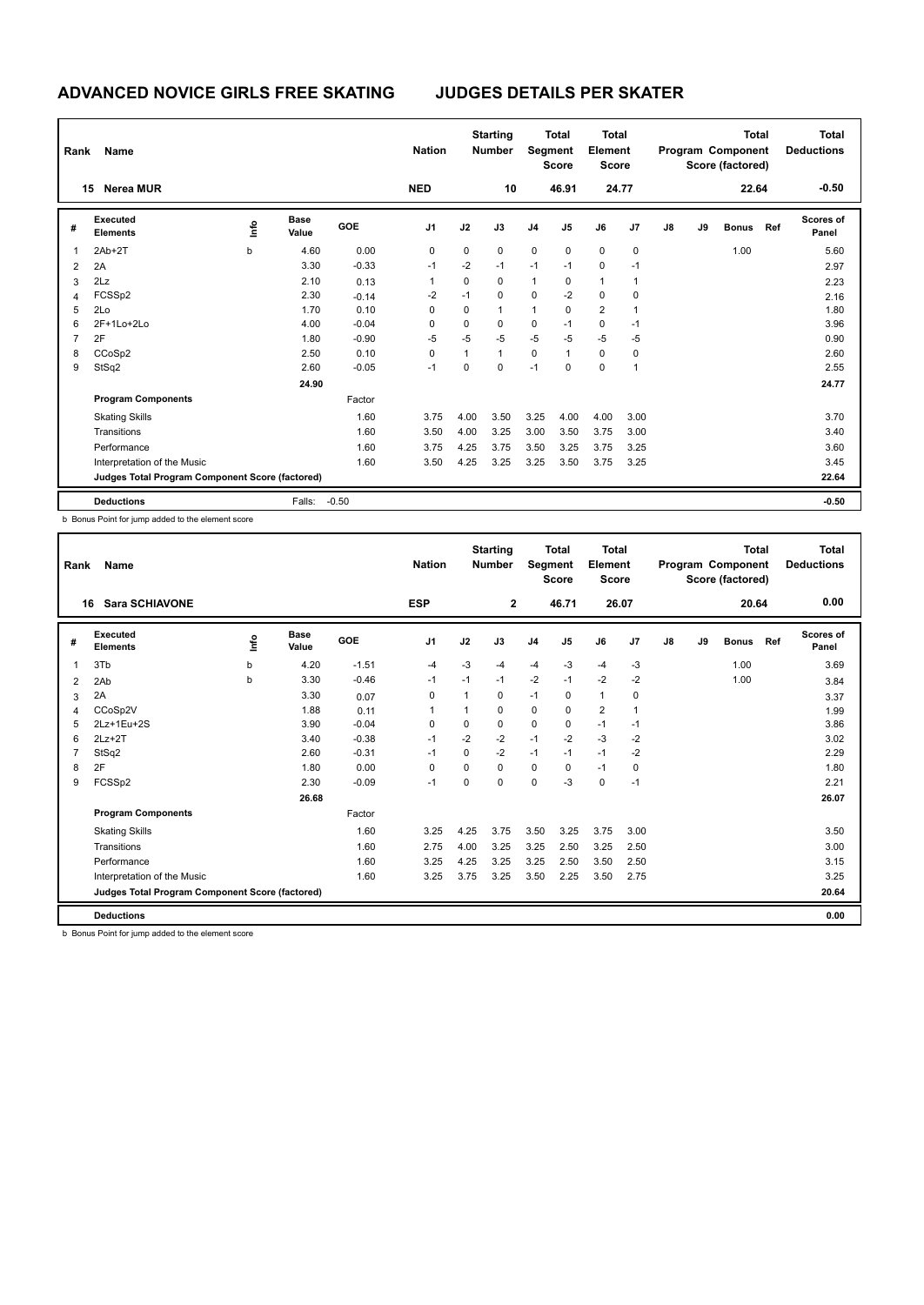| Rank | Name                                            |      |                      |            | <b>Nation</b>  |              | <b>Starting</b><br><b>Number</b> |                | <b>Total</b><br>Segment<br><b>Score</b> | Total<br>Element<br><b>Score</b> |       |               |    | <b>Total</b><br>Program Component<br>Score (factored) |     | Total<br><b>Deductions</b> |
|------|-------------------------------------------------|------|----------------------|------------|----------------|--------------|----------------------------------|----------------|-----------------------------------------|----------------------------------|-------|---------------|----|-------------------------------------------------------|-----|----------------------------|
|      | <b>Nerea MUR</b><br>15                          |      |                      |            | <b>NED</b>     |              | 10                               |                | 46.91                                   |                                  | 24.77 |               |    | 22.64                                                 |     | $-0.50$                    |
| #    | Executed<br><b>Elements</b>                     | lnfo | <b>Base</b><br>Value | <b>GOE</b> | J <sub>1</sub> | J2           | J3                               | J <sub>4</sub> | J5                                      | J6                               | J7    | $\mathsf{J}8$ | J9 | <b>Bonus</b>                                          | Ref | <b>Scores of</b><br>Panel  |
| 1    | $2Ab+2T$                                        | b    | 4.60                 | 0.00       | 0              | 0            | 0                                | $\mathbf 0$    | 0                                       | 0                                | 0     |               |    | 1.00                                                  |     | 5.60                       |
| 2    | 2A                                              |      | 3.30                 | $-0.33$    | $-1$           | $-2$         | $-1$                             | $-1$           | $-1$                                    | $\mathbf 0$                      | $-1$  |               |    |                                                       |     | 2.97                       |
| 3    | 2Lz                                             |      | 2.10                 | 0.13       | 1              | 0            | 0                                | $\mathbf{1}$   | 0                                       | $\overline{1}$                   |       |               |    |                                                       |     | 2.23                       |
| 4    | FCSSp2                                          |      | 2.30                 | $-0.14$    | -2             | $-1$         | 0                                | $\mathbf 0$    | $-2$                                    | 0                                | 0     |               |    |                                                       |     | 2.16                       |
| 5    | 2Lo                                             |      | 1.70                 | 0.10       | $\Omega$       | 0            | $\overline{1}$                   | $\mathbf{1}$   | 0                                       | $\overline{2}$                   |       |               |    |                                                       |     | 1.80                       |
| 6    | 2F+1Lo+2Lo                                      |      | 4.00                 | $-0.04$    | 0              | 0            | 0                                | 0              | $-1$                                    | $\mathbf 0$                      | $-1$  |               |    |                                                       |     | 3.96                       |
|      | 2F                                              |      | 1.80                 | $-0.90$    | -5             | $-5$         | $-5$                             | $-5$           | $-5$                                    | $-5$                             | -5    |               |    |                                                       |     | 0.90                       |
| 8    | CCoSp2                                          |      | 2.50                 | 0.10       | 0              | $\mathbf{1}$ | $\overline{1}$                   | $\mathbf 0$    | 1                                       | 0                                | 0     |               |    |                                                       |     | 2.60                       |
| 9    | StSq2                                           |      | 2.60                 | $-0.05$    | $-1$           | $\Omega$     | $\mathbf 0$                      | $-1$           | $\Omega$                                | $\mathbf 0$                      | 1     |               |    |                                                       |     | 2.55                       |
|      |                                                 |      | 24.90                |            |                |              |                                  |                |                                         |                                  |       |               |    |                                                       |     | 24.77                      |
|      | <b>Program Components</b>                       |      |                      | Factor     |                |              |                                  |                |                                         |                                  |       |               |    |                                                       |     |                            |
|      | <b>Skating Skills</b>                           |      |                      | 1.60       | 3.75           | 4.00         | 3.50                             | 3.25           | 4.00                                    | 4.00                             | 3.00  |               |    |                                                       |     | 3.70                       |
|      | Transitions                                     |      |                      | 1.60       | 3.50           | 4.00         | 3.25                             | 3.00           | 3.50                                    | 3.75                             | 3.00  |               |    |                                                       |     | 3.40                       |
|      | Performance                                     |      |                      | 1.60       | 3.75           | 4.25         | 3.75                             | 3.50           | 3.25                                    | 3.75                             | 3.25  |               |    |                                                       |     | 3.60                       |
|      | Interpretation of the Music                     |      |                      | 1.60       | 3.50           | 4.25         | 3.25                             | 3.25           | 3.50                                    | 3.75                             | 3.25  |               |    |                                                       |     | 3.45                       |
|      | Judges Total Program Component Score (factored) |      |                      |            |                |              |                                  |                |                                         |                                  |       |               |    |                                                       |     | 22.64                      |
|      | <b>Deductions</b>                               |      | Falls:               | $-0.50$    |                |              |                                  |                |                                         |                                  |       |               |    |                                                       |     | $-0.50$                    |

b Bonus Point for jump added to the element score

| Rank | Name                                            |             |                      |         | <b>Nation</b>  |          | <b>Starting</b><br><b>Number</b> | Segment        | <b>Total</b><br><b>Score</b> | <b>Total</b><br>Element<br><b>Score</b> |                |               |    | Total<br>Program Component<br>Score (factored) |     | <b>Total</b><br><b>Deductions</b> |
|------|-------------------------------------------------|-------------|----------------------|---------|----------------|----------|----------------------------------|----------------|------------------------------|-----------------------------------------|----------------|---------------|----|------------------------------------------------|-----|-----------------------------------|
| 16   | <b>Sara SCHIAVONE</b>                           |             |                      |         | <b>ESP</b>     |          | $\mathbf{2}$                     |                | 46.71                        | 26.07                                   |                |               |    | 20.64                                          |     | 0.00                              |
| #    | <b>Executed</b><br><b>Elements</b>              | <u>info</u> | <b>Base</b><br>Value | GOE     | J <sub>1</sub> | J2       | J3                               | J <sub>4</sub> | J <sub>5</sub>               | J6                                      | J <sub>7</sub> | $\mathsf{J}8$ | J9 | <b>Bonus</b>                                   | Ref | <b>Scores of</b><br>Panel         |
| 1    | 3Tb                                             | b           | 4.20                 | $-1.51$ | $-4$           | $-3$     | -4                               | $-4$           | $-3$                         | $-4$                                    | $-3$           |               |    | 1.00                                           |     | 3.69                              |
| 2    | 2Ab                                             | b           | 3.30                 | $-0.46$ | $-1$           | $-1$     | $-1$                             | $-2$           | $-1$                         | $-2$                                    | $-2$           |               |    | 1.00                                           |     | 3.84                              |
| 3    | 2A                                              |             | 3.30                 | 0.07    | 0              | 1        | 0                                | $-1$           | $\Omega$                     | $\mathbf{1}$                            | 0              |               |    |                                                |     | 3.37                              |
| 4    | CCoSp2V                                         |             | 1.88                 | 0.11    | 1              | 1        | 0                                | 0              | $\Omega$                     | $\overline{2}$                          | $\mathbf{1}$   |               |    |                                                |     | 1.99                              |
| 5    | 2Lz+1Eu+2S                                      |             | 3.90                 | $-0.04$ | 0              | 0        | 0                                | $\mathbf 0$    | 0                            | $-1$                                    | $-1$           |               |    |                                                |     | 3.86                              |
| 6    | $2Lz+2T$                                        |             | 3.40                 | $-0.38$ | $-1$           | $-2$     | $-2$                             | $-1$           | $-2$                         | $-3$                                    | $-2$           |               |    |                                                |     | 3.02                              |
| 7    | StSq2                                           |             | 2.60                 | $-0.31$ | $-1$           | $\Omega$ | $-2$                             | $-1$           | $-1$                         | $-1$                                    | $-2$           |               |    |                                                |     | 2.29                              |
| 8    | 2F                                              |             | 1.80                 | 0.00    | 0              | $\Omega$ | 0                                | 0              | $\Omega$                     | $-1$                                    | 0              |               |    |                                                |     | 1.80                              |
| 9    | FCSSp2                                          |             | 2.30                 | $-0.09$ | $-1$           | $\Omega$ | $\Omega$                         | $\mathbf 0$    | $-3$                         | $\mathbf 0$                             | $-1$           |               |    |                                                |     | 2.21                              |
|      |                                                 |             | 26.68                |         |                |          |                                  |                |                              |                                         |                |               |    |                                                |     | 26.07                             |
|      | <b>Program Components</b>                       |             |                      | Factor  |                |          |                                  |                |                              |                                         |                |               |    |                                                |     |                                   |
|      | <b>Skating Skills</b>                           |             |                      | 1.60    | 3.25           | 4.25     | 3.75                             | 3.50           | 3.25                         | 3.75                                    | 3.00           |               |    |                                                |     | 3.50                              |
|      | Transitions                                     |             |                      | 1.60    | 2.75           | 4.00     | 3.25                             | 3.25           | 2.50                         | 3.25                                    | 2.50           |               |    |                                                |     | 3.00                              |
|      | Performance                                     |             |                      | 1.60    | 3.25           | 4.25     | 3.25                             | 3.25           | 2.50                         | 3.50                                    | 2.50           |               |    |                                                |     | 3.15                              |
|      | Interpretation of the Music                     |             |                      | 1.60    | 3.25           | 3.75     | 3.25                             | 3.50           | 2.25                         | 3.50                                    | 2.75           |               |    |                                                |     | 3.25                              |
|      | Judges Total Program Component Score (factored) |             |                      |         |                |          |                                  |                |                              |                                         |                |               |    |                                                |     | 20.64                             |
|      | <b>Deductions</b>                               |             |                      |         |                |          |                                  |                |                              |                                         |                |               |    |                                                |     | 0.00                              |

b Bonus Point for jump added to the element score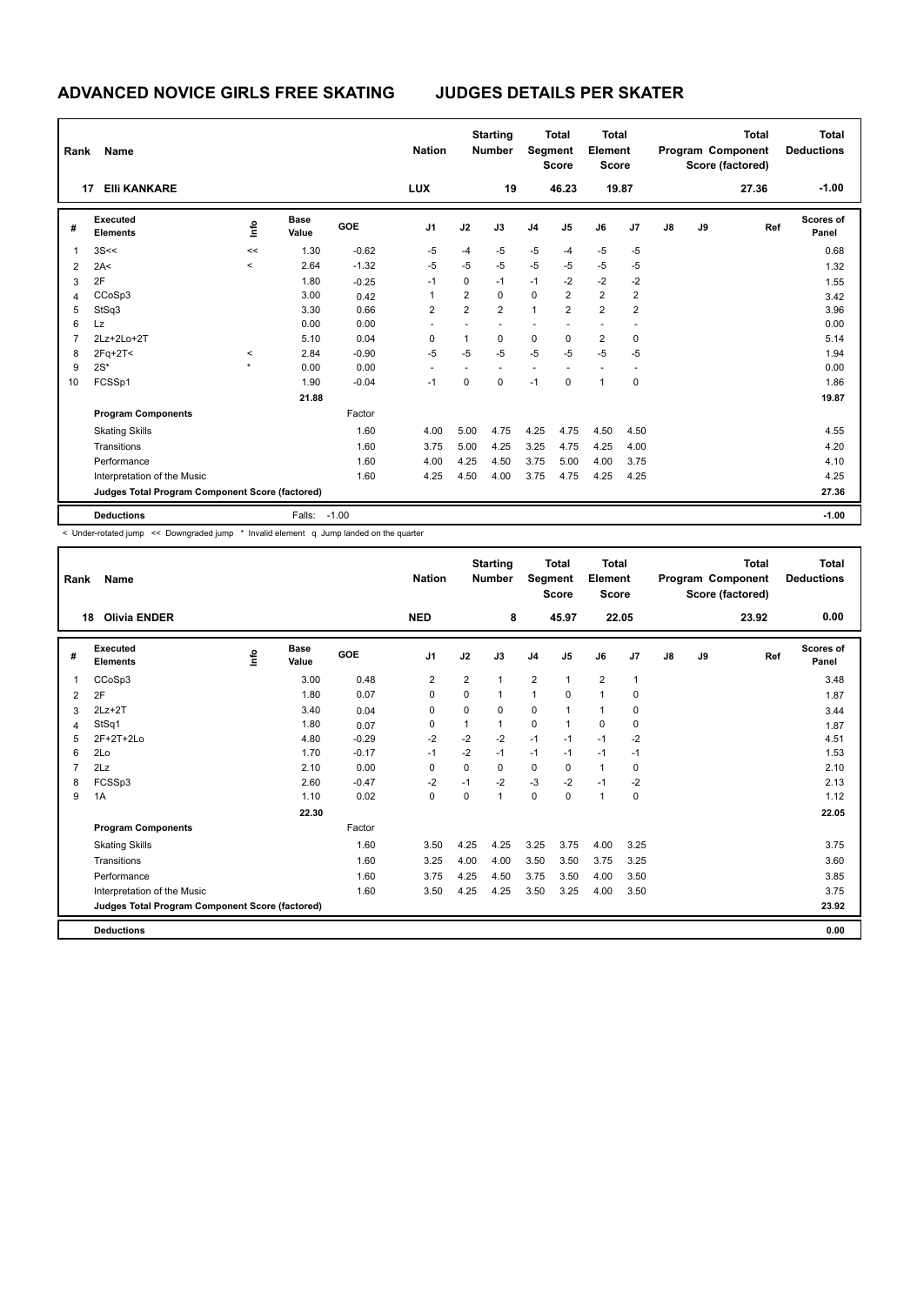| Rank           | Name                                            |                     |                      |            | <b>Nation</b>  |                | <b>Starting</b><br><b>Number</b> |                | <b>Total</b><br>Segment<br><b>Score</b> | <b>Total</b><br>Element<br><b>Score</b> |                |    |    | <b>Total</b><br>Program Component<br>Score (factored) | <b>Total</b><br><b>Deductions</b> |
|----------------|-------------------------------------------------|---------------------|----------------------|------------|----------------|----------------|----------------------------------|----------------|-----------------------------------------|-----------------------------------------|----------------|----|----|-------------------------------------------------------|-----------------------------------|
|                | <b>EIII KANKARE</b><br>17                       |                     |                      |            | <b>LUX</b>     |                | 19                               |                | 46.23                                   | 19.87                                   |                |    |    | 27.36                                                 | $-1.00$                           |
| #              | Executed<br><b>Elements</b>                     | ١m                  | <b>Base</b><br>Value | <b>GOE</b> | J <sub>1</sub> | J2             | J3                               | J <sub>4</sub> | J <sub>5</sub>                          | J6                                      | J7             | J8 | J9 | Ref                                                   | <b>Scores of</b><br>Panel         |
| 1              | 3S<<                                            | <<                  | 1.30                 | $-0.62$    | $-5$           | $-4$           | $-5$                             | $-5$           | $-4$                                    | $-5$                                    | $-5$           |    |    |                                                       | 0.68                              |
| $\overline{2}$ | 2A<                                             | $\,<\,$             | 2.64                 | $-1.32$    | $-5$           | $-5$           | $-5$                             | $-5$           | $-5$                                    | $-5$                                    | $-5$           |    |    |                                                       | 1.32                              |
| 3              | 2F                                              |                     | 1.80                 | $-0.25$    | $-1$           | 0              | $-1$                             | $-1$           | $-2$                                    | -2                                      | -2             |    |    |                                                       | 1.55                              |
| $\overline{4}$ | CCoSp3                                          |                     | 3.00                 | 0.42       | 1              | 2              | $\Omega$                         | $\mathbf 0$    | $\overline{2}$                          | $\overline{2}$                          | $\overline{2}$ |    |    |                                                       | 3.42                              |
| 5              | StSq3                                           |                     | 3.30                 | 0.66       | $\overline{2}$ | $\overline{2}$ | $\overline{2}$                   | $\mathbf{1}$   | $\overline{2}$                          | $\overline{2}$                          | $\overline{2}$ |    |    |                                                       | 3.96                              |
| 6              | <b>Lz</b>                                       |                     | 0.00                 | 0.00       |                |                | ä,                               |                |                                         | ÷                                       |                |    |    |                                                       | 0.00                              |
| $\overline{7}$ | 2Lz+2Lo+2T                                      |                     | 5.10                 | 0.04       | 0              | $\mathbf{1}$   | $\mathbf 0$                      | $\mathbf 0$    | $\Omega$                                | $\overline{2}$                          | $\mathbf 0$    |    |    |                                                       | 5.14                              |
| 8              | $2Fq+2T<$                                       | $\prec$             | 2.84                 | $-0.90$    | $-5$           | $-5$           | $-5$                             | $-5$           | $-5$                                    | $-5$                                    | $-5$           |    |    |                                                       | 1.94                              |
| 9              | $2S^*$                                          | $\boldsymbol{\ast}$ | 0.00                 | 0.00       |                |                |                                  |                |                                         |                                         |                |    |    |                                                       | 0.00                              |
| 10             | FCSSp1                                          |                     | 1.90                 | $-0.04$    | $-1$           | 0              | $\mathbf 0$                      | $-1$           | $\mathbf 0$                             | $\mathbf{1}$                            | $\mathbf 0$    |    |    |                                                       | 1.86                              |
|                |                                                 |                     | 21.88                |            |                |                |                                  |                |                                         |                                         |                |    |    |                                                       | 19.87                             |
|                | <b>Program Components</b>                       |                     |                      | Factor     |                |                |                                  |                |                                         |                                         |                |    |    |                                                       |                                   |
|                | <b>Skating Skills</b>                           |                     |                      | 1.60       | 4.00           | 5.00           | 4.75                             | 4.25           | 4.75                                    | 4.50                                    | 4.50           |    |    |                                                       | 4.55                              |
|                | Transitions                                     |                     |                      | 1.60       | 3.75           | 5.00           | 4.25                             | 3.25           | 4.75                                    | 4.25                                    | 4.00           |    |    |                                                       | 4.20                              |
|                | Performance                                     |                     |                      | 1.60       | 4.00           | 4.25           | 4.50                             | 3.75           | 5.00                                    | 4.00                                    | 3.75           |    |    |                                                       | 4.10                              |
|                | Interpretation of the Music                     |                     |                      | 1.60       | 4.25           | 4.50           | 4.00                             | 3.75           | 4.75                                    | 4.25                                    | 4.25           |    |    |                                                       | 4.25                              |
|                | Judges Total Program Component Score (factored) |                     |                      |            |                |                |                                  |                |                                         |                                         |                |    |    |                                                       | 27.36                             |
|                | <b>Deductions</b>                               |                     | Falls:               | $-1.00$    |                |                |                                  |                |                                         |                                         |                |    |    |                                                       | $-1.00$                           |

< Under-rotated jump << Downgraded jump \* Invalid element q Jump landed on the quarter

| Rank           | <b>Name</b>                                     |    |                      |         | <b>Nation</b>  |                | <b>Starting</b><br><b>Number</b> | Segment        | <b>Total</b><br><b>Score</b> | <b>Total</b><br>Element<br><b>Score</b> |              |               |    | <b>Total</b><br>Program Component<br>Score (factored) | <b>Total</b><br><b>Deductions</b> |
|----------------|-------------------------------------------------|----|----------------------|---------|----------------|----------------|----------------------------------|----------------|------------------------------|-----------------------------------------|--------------|---------------|----|-------------------------------------------------------|-----------------------------------|
| 18             | <b>Olivia ENDER</b>                             |    |                      |         | <b>NED</b>     |                | 8                                |                | 45.97                        | 22.05                                   |              |               |    | 23.92                                                 | 0.00                              |
| #              | Executed<br><b>Elements</b>                     | ۴ů | <b>Base</b><br>Value | GOE     | J <sub>1</sub> | J2             | J3                               | J <sub>4</sub> | J5                           | J6                                      | J7           | $\mathsf{J}8$ | J9 | Ref                                                   | <b>Scores of</b><br>Panel         |
| 1              | CCoSp3                                          |    | 3.00                 | 0.48    | $\overline{2}$ | $\overline{2}$ | $\mathbf{1}$                     | 2              | $\mathbf{1}$                 | $\overline{2}$                          | $\mathbf{1}$ |               |    |                                                       | 3.48                              |
| 2              | 2F                                              |    | 1.80                 | 0.07    | 0              | 0              | $\mathbf{1}$                     | $\mathbf{1}$   | 0                            | $\mathbf{1}$                            | 0            |               |    |                                                       | 1.87                              |
| 3              | $2Lz+2T$                                        |    | 3.40                 | 0.04    | 0              | 0              | 0                                | 0              | 1                            | $\mathbf{1}$                            | 0            |               |    |                                                       | 3.44                              |
| $\overline{4}$ | StSq1                                           |    | 1.80                 | 0.07    | $\Omega$       | 1              | $\mathbf{1}$                     | $\mathbf 0$    | 1                            | $\Omega$                                | 0            |               |    |                                                       | 1.87                              |
| 5              | $2F+2T+2Lo$                                     |    | 4.80                 | $-0.29$ | $-2$           | $-2$           | $-2$                             | $-1$           | $-1$                         | $-1$                                    | $-2$         |               |    |                                                       | 4.51                              |
| 6              | 2Lo                                             |    | 1.70                 | $-0.17$ | $-1$           | $-2$           | $-1$                             | $-1$           | $-1$                         | $-1$                                    | $-1$         |               |    |                                                       | 1.53                              |
| 7              | 2Lz                                             |    | 2.10                 | 0.00    | $\Omega$       | $\Omega$       | $\Omega$                         | $\mathbf 0$    | $\Omega$                     | $\mathbf{1}$                            | 0            |               |    |                                                       | 2.10                              |
| 8              | FCSSp3                                          |    | 2.60                 | $-0.47$ | $-2$           | $-1$           | $-2$                             | $-3$           | $-2$                         | $-1$                                    | -2           |               |    |                                                       | 2.13                              |
| 9              | 1A                                              |    | 1.10                 | 0.02    | $\mathbf 0$    | 0              | $\mathbf{1}$                     | $\mathbf 0$    | 0                            | $\overline{1}$                          | 0            |               |    |                                                       | 1.12                              |
|                |                                                 |    | 22.30                |         |                |                |                                  |                |                              |                                         |              |               |    |                                                       | 22.05                             |
|                | <b>Program Components</b>                       |    |                      | Factor  |                |                |                                  |                |                              |                                         |              |               |    |                                                       |                                   |
|                | <b>Skating Skills</b>                           |    |                      | 1.60    | 3.50           | 4.25           | 4.25                             | 3.25           | 3.75                         | 4.00                                    | 3.25         |               |    |                                                       | 3.75                              |
|                | Transitions                                     |    |                      | 1.60    | 3.25           | 4.00           | 4.00                             | 3.50           | 3.50                         | 3.75                                    | 3.25         |               |    |                                                       | 3.60                              |
|                | Performance                                     |    |                      | 1.60    | 3.75           | 4.25           | 4.50                             | 3.75           | 3.50                         | 4.00                                    | 3.50         |               |    |                                                       | 3.85                              |
|                | Interpretation of the Music                     |    |                      | 1.60    | 3.50           | 4.25           | 4.25                             | 3.50           | 3.25                         | 4.00                                    | 3.50         |               |    |                                                       | 3.75                              |
|                | Judges Total Program Component Score (factored) |    |                      |         |                |                |                                  |                |                              |                                         |              |               |    |                                                       | 23.92                             |
|                | <b>Deductions</b>                               |    |                      |         |                |                |                                  |                |                              |                                         |              |               |    |                                                       | 0.00                              |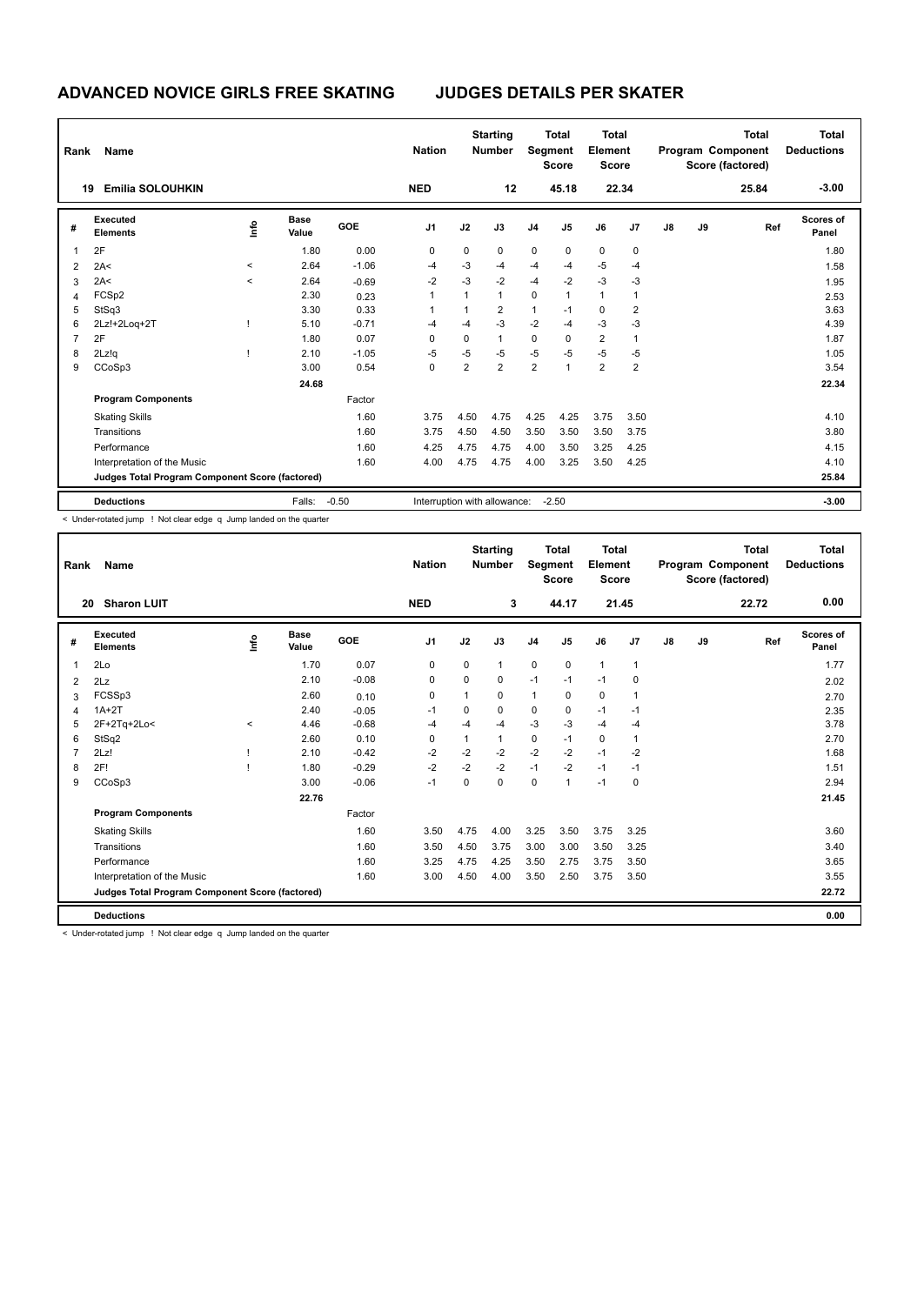| Rank | Name                                            |              |                      |            | <b>Nation</b>                |                | <b>Starting</b><br><b>Number</b> |                | <b>Total</b><br><b>Segment</b><br><b>Score</b> | <b>Total</b><br>Element<br><b>Score</b> |                |               |    | <b>Total</b><br>Program Component<br>Score (factored) | <b>Total</b><br><b>Deductions</b> |
|------|-------------------------------------------------|--------------|----------------------|------------|------------------------------|----------------|----------------------------------|----------------|------------------------------------------------|-----------------------------------------|----------------|---------------|----|-------------------------------------------------------|-----------------------------------|
| 19   | <b>Emilia SOLOUHKIN</b>                         |              |                      |            | <b>NED</b>                   |                | 12                               |                | 45.18                                          |                                         | 22.34          |               |    | 25.84                                                 | $-3.00$                           |
| #    | Executed<br><b>Elements</b>                     | ١m           | <b>Base</b><br>Value | <b>GOE</b> | J1                           | J2             | J3                               | J <sub>4</sub> | J5                                             | J6                                      | J7             | $\mathsf{J}8$ | J9 | Ref                                                   | <b>Scores of</b><br>Panel         |
|      | 2F                                              |              | 1.80                 | 0.00       | 0                            | 0              | 0                                | $\mathbf 0$    | 0                                              | 0                                       | 0              |               |    |                                                       | 1.80                              |
| 2    | 2A<                                             | $\prec$      | 2.64                 | $-1.06$    | $-4$                         | $-3$           | $-4$                             | $-4$           | $-4$                                           | $-5$                                    | $-4$           |               |    |                                                       | 1.58                              |
| 3    | 2A<                                             | $\checkmark$ | 2.64                 | $-0.69$    | $-2$                         | $-3$           | $-2$                             | $-4$           | $-2$                                           | $-3$                                    | -3             |               |    |                                                       | 1.95                              |
| 4    | FCSp2                                           |              | 2.30                 | 0.23       | 1                            | $\mathbf{1}$   | $\mathbf{1}$                     | $\mathbf 0$    | 1                                              | $\overline{1}$                          |                |               |    |                                                       | 2.53                              |
| 5    | StSq3                                           |              | 3.30                 | 0.33       |                              | 1              | $\overline{2}$                   | $\mathbf{1}$   | $-1$                                           | $\mathbf 0$                             | $\overline{2}$ |               |    |                                                       | 3.63                              |
| 6    | 2Lz!+2Loq+2T                                    |              | 5.10                 | $-0.71$    | $-4$                         | $-4$           | $-3$                             | $-2$           | $-4$                                           | $-3$                                    | $-3$           |               |    |                                                       | 4.39                              |
|      | 2F                                              |              | 1.80                 | 0.07       | 0                            | 0              | $\mathbf{1}$                     | $\mathbf 0$    | 0                                              | $\overline{2}$                          |                |               |    |                                                       | 1.87                              |
| 8    | 2Lz!q                                           |              | 2.10                 | $-1.05$    | $-5$                         | $-5$           | $-5$                             | $-5$           | $-5$                                           | $-5$                                    | -5             |               |    |                                                       | 1.05                              |
| 9    | CCoSp3                                          |              | 3.00                 | 0.54       | 0                            | $\overline{2}$ | $\overline{2}$                   | $\overline{2}$ | $\mathbf{1}$                                   | $\overline{2}$                          | $\overline{2}$ |               |    |                                                       | 3.54                              |
|      |                                                 |              | 24.68                |            |                              |                |                                  |                |                                                |                                         |                |               |    |                                                       | 22.34                             |
|      | <b>Program Components</b>                       |              |                      | Factor     |                              |                |                                  |                |                                                |                                         |                |               |    |                                                       |                                   |
|      | <b>Skating Skills</b>                           |              |                      | 1.60       | 3.75                         | 4.50           | 4.75                             | 4.25           | 4.25                                           | 3.75                                    | 3.50           |               |    |                                                       | 4.10                              |
|      | Transitions                                     |              |                      | 1.60       | 3.75                         | 4.50           | 4.50                             | 3.50           | 3.50                                           | 3.50                                    | 3.75           |               |    |                                                       | 3.80                              |
|      | Performance                                     |              |                      | 1.60       | 4.25                         | 4.75           | 4.75                             | 4.00           | 3.50                                           | 3.25                                    | 4.25           |               |    |                                                       | 4.15                              |
|      | Interpretation of the Music                     |              |                      | 1.60       | 4.00                         | 4.75           | 4.75                             | 4.00           | 3.25                                           | 3.50                                    | 4.25           |               |    |                                                       | 4.10                              |
|      | Judges Total Program Component Score (factored) |              |                      |            |                              |                |                                  |                |                                                |                                         |                |               |    |                                                       | 25.84                             |
|      | <b>Deductions</b>                               |              | Falls:               | $-0.50$    | Interruption with allowance: |                |                                  |                | $-2.50$                                        |                                         |                |               |    |                                                       | $-3.00$                           |

< Under-rotated jump ! Not clear edge q Jump landed on the quarter

| Rank         | Name                                            |            |                      |         | <b>Nation</b>  |              | <b>Starting</b><br><b>Number</b> | Segment        | <b>Total</b><br><b>Score</b> | <b>Total</b><br>Element<br><b>Score</b> |                |    |    | <b>Total</b><br>Program Component<br>Score (factored) | <b>Total</b><br><b>Deductions</b> |
|--------------|-------------------------------------------------|------------|----------------------|---------|----------------|--------------|----------------------------------|----------------|------------------------------|-----------------------------------------|----------------|----|----|-------------------------------------------------------|-----------------------------------|
| 20           | <b>Sharon LUIT</b>                              |            |                      |         | <b>NED</b>     |              | 3                                |                | 44.17                        | 21.45                                   |                |    |    | 22.72                                                 | 0.00                              |
| #            | Executed<br><b>Elements</b>                     | <b>Lin</b> | <b>Base</b><br>Value | GOE     | J <sub>1</sub> | J2           | J3                               | J <sub>4</sub> | J <sub>5</sub>               | J6                                      | J <sub>7</sub> | J8 | J9 | Ref                                                   | Scores of<br>Panel                |
| $\mathbf{1}$ | 2Lo                                             |            | 1.70                 | 0.07    | 0              | 0            | $\mathbf{1}$                     | 0              | $\mathbf 0$                  | $\mathbf{1}$                            | $\mathbf{1}$   |    |    |                                                       | 1.77                              |
| 2            | 2Lz                                             |            | 2.10                 | $-0.08$ | 0              | $\mathbf 0$  | 0                                | $-1$           | $-1$                         | $-1$                                    | 0              |    |    |                                                       | 2.02                              |
| 3            | FCSSp3                                          |            | 2.60                 | 0.10    | 0              | 1            | 0                                | 1              | $\Omega$                     | 0                                       | 1              |    |    |                                                       | 2.70                              |
| 4            | $1A+2T$                                         |            | 2.40                 | $-0.05$ | $-1$           | $\Omega$     | 0                                | 0              | $\Omega$                     | $-1$                                    | $-1$           |    |    |                                                       | 2.35                              |
| 5            | 2F+2Tq+2Lo<                                     | $\hat{}$   | 4.46                 | $-0.68$ | $-4$           | $-4$         | -4                               | $-3$           | $-3$                         | $-4$                                    | $-4$           |    |    |                                                       | 3.78                              |
| 6            | StSq2                                           |            | 2.60                 | 0.10    | 0              | $\mathbf{1}$ | 1                                | 0              | $-1$                         | $\mathbf 0$                             | $\overline{1}$ |    |    |                                                       | 2.70                              |
| 7            | 2Lz!                                            |            | 2.10                 | $-0.42$ | $-2$           | $-2$         | $-2$                             | $-2$           | $-2$                         | $-1$                                    | $-2$           |    |    |                                                       | 1.68                              |
| 8            | 2F!                                             |            | 1.80                 | $-0.29$ | $-2$           | $-2$         | $-2$                             | $-1$           | $-2$                         | $-1$                                    | $-1$           |    |    |                                                       | 1.51                              |
| 9            | CCoSp3                                          |            | 3.00                 | $-0.06$ | $-1$           | $\Omega$     | $\Omega$                         | 0              | $\overline{1}$               | $-1$                                    | 0              |    |    |                                                       | 2.94                              |
|              |                                                 |            | 22.76                |         |                |              |                                  |                |                              |                                         |                |    |    |                                                       | 21.45                             |
|              | <b>Program Components</b>                       |            |                      | Factor  |                |              |                                  |                |                              |                                         |                |    |    |                                                       |                                   |
|              | <b>Skating Skills</b>                           |            |                      | 1.60    | 3.50           | 4.75         | 4.00                             | 3.25           | 3.50                         | 3.75                                    | 3.25           |    |    |                                                       | 3.60                              |
|              | Transitions                                     |            |                      | 1.60    | 3.50           | 4.50         | 3.75                             | 3.00           | 3.00                         | 3.50                                    | 3.25           |    |    |                                                       | 3.40                              |
|              | Performance                                     |            |                      | 1.60    | 3.25           | 4.75         | 4.25                             | 3.50           | 2.75                         | 3.75                                    | 3.50           |    |    |                                                       | 3.65                              |
|              | Interpretation of the Music                     |            |                      | 1.60    | 3.00           | 4.50         | 4.00                             | 3.50           | 2.50                         | 3.75                                    | 3.50           |    |    |                                                       | 3.55                              |
|              | Judges Total Program Component Score (factored) |            |                      |         |                |              |                                  |                |                              |                                         |                |    |    |                                                       | 22.72                             |
|              | <b>Deductions</b>                               |            |                      |         |                |              |                                  |                |                              |                                         |                |    |    |                                                       | 0.00                              |

< Under-rotated jump ! Not clear edge q Jump landed on the quarter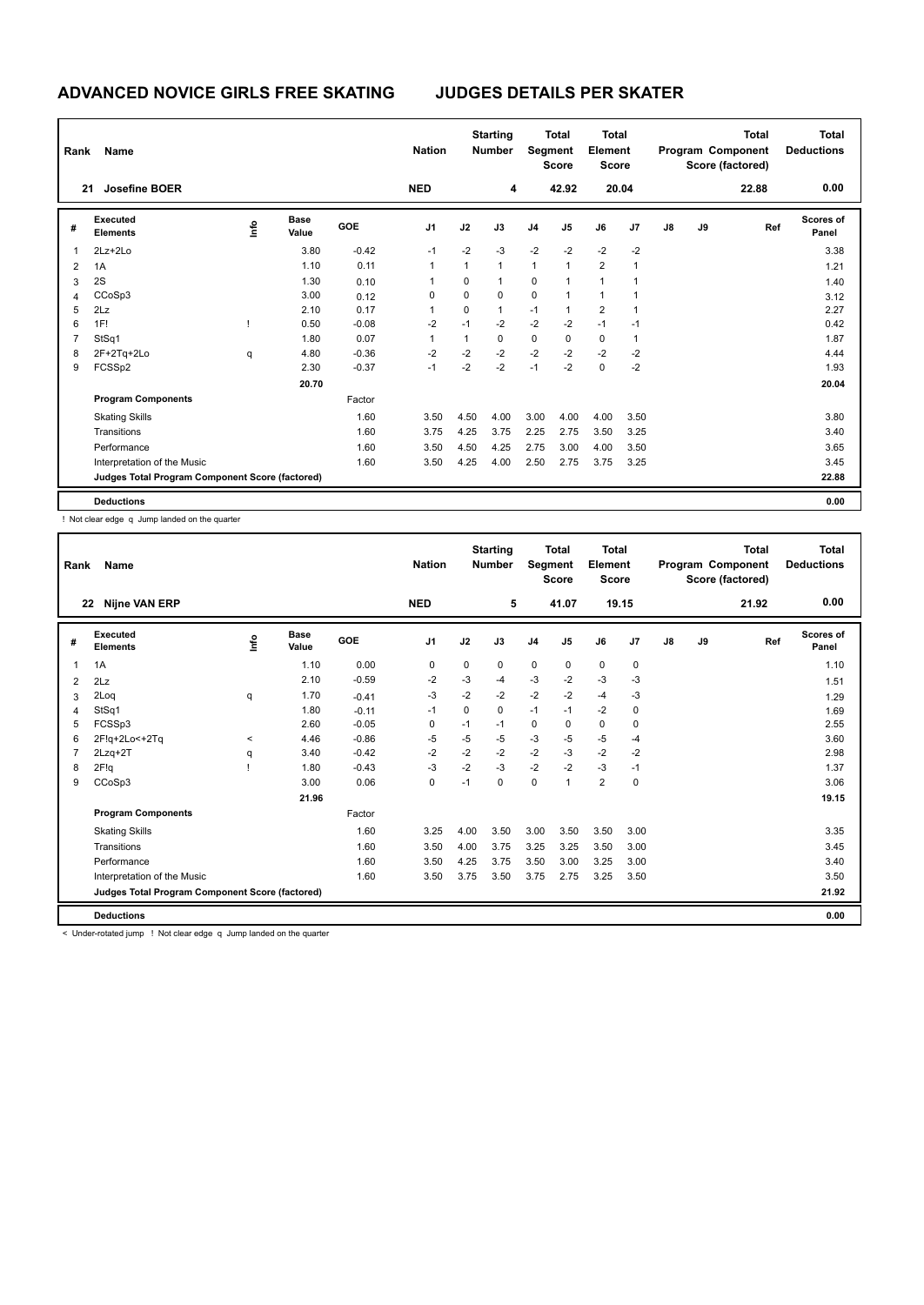| Rank           | Name                                            |     |                      |         | <b>Nation</b> |             | <b>Starting</b><br><b>Number</b> |                | <b>Total</b><br>Segment<br><b>Score</b> | <b>Total</b><br>Element<br><b>Score</b> |       |               |    | <b>Total</b><br>Program Component<br>Score (factored) | <b>Total</b><br><b>Deductions</b> |
|----------------|-------------------------------------------------|-----|----------------------|---------|---------------|-------------|----------------------------------|----------------|-----------------------------------------|-----------------------------------------|-------|---------------|----|-------------------------------------------------------|-----------------------------------|
|                | <b>Josefine BOER</b><br>21                      |     |                      |         | <b>NED</b>    |             | 4                                |                | 42.92                                   |                                         | 20.04 |               |    | 22.88                                                 | 0.00                              |
| #              | Executed<br><b>Elements</b>                     | ١f٥ | <b>Base</b><br>Value | GOE     | J1            | J2          | J3                               | J <sub>4</sub> | J5                                      | J6                                      | J7    | $\mathsf{J}8$ | J9 | Ref                                                   | <b>Scores of</b><br>Panel         |
|                | $2Lz + 2Lo$                                     |     | 3.80                 | $-0.42$ | $-1$          | $-2$        | $-3$                             | $-2$           | $-2$                                    | $-2$                                    | $-2$  |               |    |                                                       | 3.38                              |
| $\overline{2}$ | 1A                                              |     | 1.10                 | 0.11    | 1             | 1           | $\mathbf{1}$                     | $\mathbf{1}$   | $\mathbf{1}$                            | $\overline{2}$                          |       |               |    |                                                       | 1.21                              |
| 3              | 2S                                              |     | 1.30                 | 0.10    |               | 0           | $\mathbf{1}$                     | 0              | $\overline{1}$                          | $\overline{1}$                          |       |               |    |                                                       | 1.40                              |
| 4              | CCoSp3                                          |     | 3.00                 | 0.12    | 0             | $\mathbf 0$ | 0                                | $\mathbf 0$    | $\mathbf{1}$                            | $\overline{1}$                          |       |               |    |                                                       | 3.12                              |
| 5              | 2Lz                                             |     | 2.10                 | 0.17    |               | 0           | $\mathbf{1}$                     | $-1$           | $\overline{1}$                          | $\overline{2}$                          |       |               |    |                                                       | 2.27                              |
| 6              | 1F!                                             |     | 0.50                 | $-0.08$ | $-2$          | $-1$        | $-2$                             | $-2$           | $-2$                                    | $-1$                                    | $-1$  |               |    |                                                       | 0.42                              |
| 7              | StSq1                                           |     | 1.80                 | 0.07    |               | 1           | 0                                | 0              | 0                                       | 0                                       |       |               |    |                                                       | 1.87                              |
| 8              | 2F+2Tq+2Lo                                      | q   | 4.80                 | $-0.36$ | $-2$          | $-2$        | $-2$                             | $-2$           | $-2$                                    | $-2$                                    | $-2$  |               |    |                                                       | 4.44                              |
| 9              | FCSSp2                                          |     | 2.30                 | $-0.37$ | $-1$          | $-2$        | $-2$                             | $-1$           | $-2$                                    | $\mathbf 0$                             | $-2$  |               |    |                                                       | 1.93                              |
|                |                                                 |     | 20.70                |         |               |             |                                  |                |                                         |                                         |       |               |    |                                                       | 20.04                             |
|                | <b>Program Components</b>                       |     |                      | Factor  |               |             |                                  |                |                                         |                                         |       |               |    |                                                       |                                   |
|                | <b>Skating Skills</b>                           |     |                      | 1.60    | 3.50          | 4.50        | 4.00                             | 3.00           | 4.00                                    | 4.00                                    | 3.50  |               |    |                                                       | 3.80                              |
|                | Transitions                                     |     |                      | 1.60    | 3.75          | 4.25        | 3.75                             | 2.25           | 2.75                                    | 3.50                                    | 3.25  |               |    |                                                       | 3.40                              |
|                | Performance                                     |     |                      | 1.60    | 3.50          | 4.50        | 4.25                             | 2.75           | 3.00                                    | 4.00                                    | 3.50  |               |    |                                                       | 3.65                              |
|                | Interpretation of the Music                     |     |                      | 1.60    | 3.50          | 4.25        | 4.00                             | 2.50           | 2.75                                    | 3.75                                    | 3.25  |               |    |                                                       | 3.45                              |
|                | Judges Total Program Component Score (factored) |     |                      |         |               |             |                                  |                |                                         |                                         |       |               |    |                                                       | 22.88                             |
|                | <b>Deductions</b>                               |     |                      |         |               |             |                                  |                |                                         |                                         |       |               |    |                                                       | 0.00                              |

! Not clear edge q Jump landed on the quarter

| Rank | <b>Name</b>                                     |            |                      |            | <b>Nation</b>  |      | <b>Starting</b><br><b>Number</b> | Segment        | <b>Total</b><br><b>Score</b> | <b>Total</b><br>Element<br><b>Score</b> |       |               |    | <b>Total</b><br>Program Component<br>Score (factored) | Total<br><b>Deductions</b> |
|------|-------------------------------------------------|------------|----------------------|------------|----------------|------|----------------------------------|----------------|------------------------------|-----------------------------------------|-------|---------------|----|-------------------------------------------------------|----------------------------|
| 22   | <b>Nijne VAN ERP</b>                            |            |                      |            | <b>NED</b>     |      | 5                                |                | 41.07                        |                                         | 19.15 |               |    | 21.92                                                 | 0.00                       |
| #    | Executed<br><b>Elements</b>                     | <b>Lin</b> | <b>Base</b><br>Value | <b>GOE</b> | J <sub>1</sub> | J2   | J3                               | J <sub>4</sub> | J5                           | J6                                      | J7    | $\mathsf{J}8$ | J9 | Ref                                                   | <b>Scores of</b><br>Panel  |
| 1    | 1A                                              |            | 1.10                 | 0.00       | 0              | 0    | 0                                | $\mathbf 0$    | 0                            | $\mathbf 0$                             | 0     |               |    |                                                       | 1.10                       |
| 2    | 2Lz                                             |            | 2.10                 | $-0.59$    | $-2$           | $-3$ | $-4$                             | $-3$           | $-2$                         | $-3$                                    | -3    |               |    |                                                       | 1.51                       |
| 3    | 2Log                                            | q          | 1.70                 | $-0.41$    | $-3$           | $-2$ | $-2$                             | $-2$           | $-2$                         | $-4$                                    | -3    |               |    |                                                       | 1.29                       |
| 4    | StSq1                                           |            | 1.80                 | $-0.11$    | $-1$           | 0    | 0                                | $-1$           | $-1$                         | $-2$                                    | 0     |               |    |                                                       | 1.69                       |
| 5    | FCSSp3                                          |            | 2.60                 | $-0.05$    | 0              | $-1$ | $-1$                             | $\mathbf 0$    | 0                            | $\pmb{0}$                               | 0     |               |    |                                                       | 2.55                       |
| 6    | 2F!g+2Lo<+2Tq                                   | $\,<\,$    | 4.46                 | $-0.86$    | -5             | $-5$ | -5                               | $-3$           | $-5$                         | $-5$                                    | $-4$  |               |    |                                                       | 3.60                       |
| 7    | $2Lzq+2T$                                       | q          | 3.40                 | $-0.42$    | $-2$           | $-2$ | $-2$                             | $-2$           | $-3$                         | $-2$                                    | $-2$  |               |    |                                                       | 2.98                       |
| 8    | 2F!q                                            |            | 1.80                 | $-0.43$    | $-3$           | $-2$ | $-3$                             | $-2$           | $-2$                         | $-3$                                    | $-1$  |               |    |                                                       | 1.37                       |
| 9    | CCoSp3                                          |            | 3.00                 | 0.06       | 0              | $-1$ | $\Omega$                         | 0              | 1                            | $\overline{2}$                          | 0     |               |    |                                                       | 3.06                       |
|      |                                                 |            | 21.96                |            |                |      |                                  |                |                              |                                         |       |               |    |                                                       | 19.15                      |
|      | <b>Program Components</b>                       |            |                      | Factor     |                |      |                                  |                |                              |                                         |       |               |    |                                                       |                            |
|      | <b>Skating Skills</b>                           |            |                      | 1.60       | 3.25           | 4.00 | 3.50                             | 3.00           | 3.50                         | 3.50                                    | 3.00  |               |    |                                                       | 3.35                       |
|      | Transitions                                     |            |                      | 1.60       | 3.50           | 4.00 | 3.75                             | 3.25           | 3.25                         | 3.50                                    | 3.00  |               |    |                                                       | 3.45                       |
|      | Performance                                     |            |                      | 1.60       | 3.50           | 4.25 | 3.75                             | 3.50           | 3.00                         | 3.25                                    | 3.00  |               |    |                                                       | 3.40                       |
|      | Interpretation of the Music                     |            |                      | 1.60       | 3.50           | 3.75 | 3.50                             | 3.75           | 2.75                         | 3.25                                    | 3.50  |               |    |                                                       | 3.50                       |
|      | Judges Total Program Component Score (factored) |            |                      |            |                |      |                                  |                |                              |                                         |       |               |    |                                                       | 21.92                      |
|      | <b>Deductions</b>                               |            |                      |            |                |      |                                  |                |                              |                                         |       |               |    |                                                       | 0.00                       |

< Under-rotated jump ! Not clear edge q Jump landed on the quarter